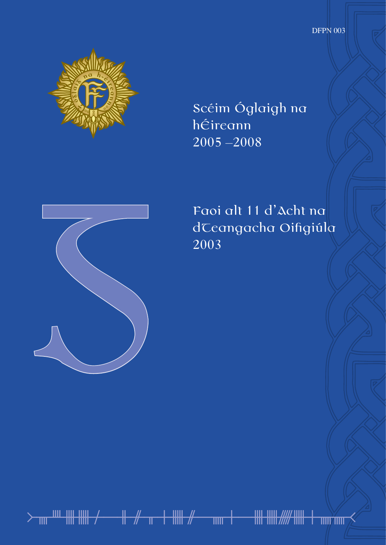DFPN 003



Scéim Óglaigh na hÉireann 2005 –2008



Faoi alt 11 d'Acht na dCeangacha Oifigiúla 2003

᚛ᚄᚉᚓᚔᚋ ᚑᚌᚂᚐᚔᚌ ᚅᚐ ᚓᚔᚏᚔᚐᚅᚅ᚜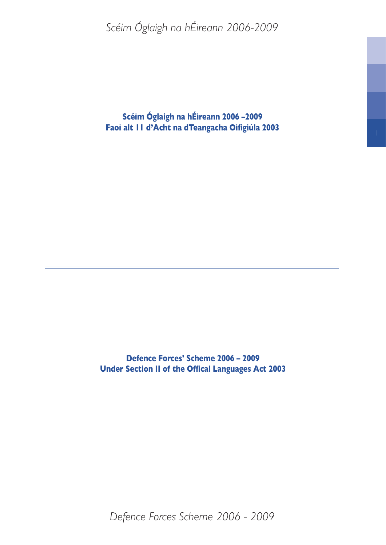**Scéim Óglaigh na hÉireann 2006 –2009 Faoi alt 11 d'Acht na dTeangacha Oifigiúla 2003**

**Defence Forces' Scheme 2006 – 2009 Under Section II of the Offical Languages Act 2003**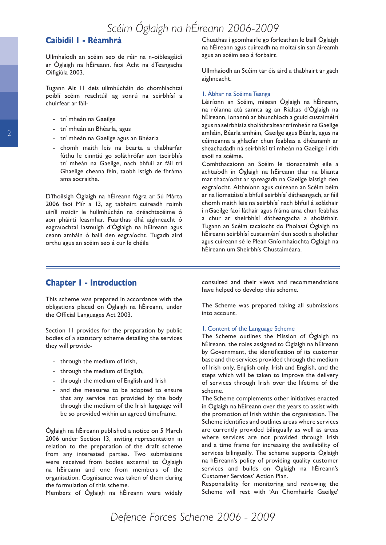### **Caibidil 1 - Réamhrá**

Ullmhaíodh an scéim seo de réir na n-oibleagáidí ar Óglaigh na hÉireann, faoi Acht na dTeangacha Oifigiúla 2003.

Tugann Alt 11 deis ullmhúcháin do chomhlachtaí poiblí scéim reachtúil ag sonrú na seirbhísí a chuirfear ar fáil-

- trí mheán na Gaeilge
- trí mheán an Bhéarla, agus
- trí mheán na Gaeilge agus an Bhéarla
- chomh maith leis na bearta a thabharfar fúthu le cinntiú go soláthrófar aon tseirbhís trí mheán na Gaeilge, nach bhfuil ar fáil trí Ghaeilge cheana féin, taobh istigh de fhráma ama socraithe.

D'fhoilsigh Óglaigh na hÉireann fógra ar 5ú Márta 2006 faoi Mír a 13, ag tabhairt cuireadh roimh uiríll maidir le hullmhúchán na dréachtscéime ó aon pháirtí leasmhar. Fuarthas dhá aighneacht ó eagraíochtaí lasmuigh d'Óglaigh na hÉireann agus ceann amháin ó baill den eagraíocht. Tugadh aird orthu agus an scéim seo á cur le chéile

Chuathas i gcomhairle go forleathan le baill Óglaigh na hÉireann agus cuireadh na moltaí sin san áireamh agus an scéim seo á forbairt.

Ullmhaíodh an Scéim tar éis aird a thabhairt ar gach aighneacht.

#### 1. Ábhar na Scéime Teanga

Léiríonn an Scéim, misean Óglaigh na hÉireann, na rólanna atá sannta ag an Rialtas d'Óglaigh na hÉireann, ionannú ar bhunchloch a gcuid custaiméirí agus na seirbhísí a sholáthraítear trí mheán na Gaeilge amháin, Béarla amháin, Gaeilge agus Béarla, agus na céimeanna a ghlacfar chun feabhas a dhéanamh ar sheachadadh ná seirbhísí trí mheán na Gaeilge i rith saoil na scéime.

Comhthacaíonn an Scéim le tionscnaimh eile a achtaíodh in Óglaigh na hÉireann thar na blianta mar thacaíocht ar spreagadh na Gaeilge laistigh den eagraíocht. Aithníonn agus cuireann an Scéim béim ar na líomatáistí a bhfuil seirbhísí dátheangach, ar fáil chomh maith leis na seirbhísí nach bhfuil á soláthair i nGaeilge faoi láthair agus fráma ama chun feabhas a chur ar sheirbhísí dátheangacha a sholáthair. Tugann an Scéim tacaíocht do Pholasaí Óglaigh na hÉireann seirbhísí custaiméirí den scoth a sholáthar agus cuireann sé le Plean Gníomhaíochta Óglaigh na hÉireann um Sheirbhís Chustaiméara.

### **Chapter 1 - Introduction**

This scheme was prepared in accordance with the obligations placed on Óglaigh na hÉireann, under the Official Languages Act 2003.

Section 11 provides for the preparation by public bodies of a statutory scheme detailing the services they will provide-

- through the medium of Irish,
- through the medium of English,
- through the medium of English and Irish
- and the measures to be adopted to ensure that any service not provided by the body through the medium of the Irish language will be so provided within an agreed timeframe.

Óglaigh na hÉireann published a notice on 5 March 2006 under Section 13, inviting representation in relation to the preparation of the draft scheme from any interested parties. Two submissions were received from bodies external to Óglaigh na hÉireann and one from members of the organisation. Cognisance was taken of them during the formulation of this scheme.

Members of Óglaigh na hÉireann were widely

consulted and their views and recommendations have helped to develop this scheme.

The Scheme was prepared taking all submissions into account.

#### 1. Content of the Language Scheme

The Scheme outlines the Mission of Óglaigh na hÉireann, the roles assigned to Óglaigh na hÉireann by Government, the identification of its customer base and the services provided through the medium of Irish only, English only, Irish and English, and the steps which will be taken to improve the delivery of services through Irish over the lifetime of the scheme.

The Scheme complements other initiatives enacted in Óglaigh na hÉireann over the years to assist with the promotion of Irish within the organisation. The Scheme identifies and outlines areas where services are currently provided bilingually as well as areas where services are not provided through Irish and a time frame for increasing the availability of services bilingually. The scheme supports Óglaigh na hÉireann's policy of providing quality customer services and builds on Óglaigh na hÉireann's Customer Services' Action Plan.

Responsibility for monitoring and reviewing the Scheme will rest with 'An Chomhairle Gaeilge'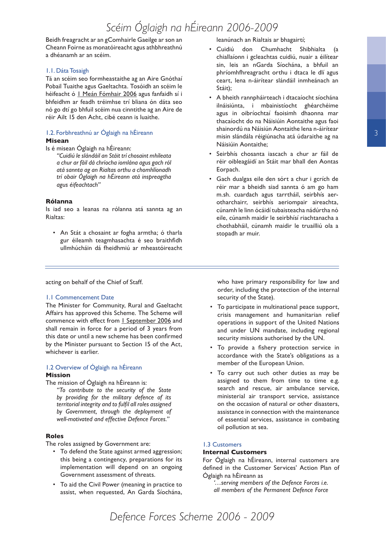Beidh freagracht ar an gComhairle Gaeilge ar son an Cheann Foirne as monatóireacht agus athbhreathnú a dhéanamh ar an scéim.

#### 1.1. Dáta Tosaigh

Tá an scéim seo formheastaithe ag an Aire Gnóthaí Pobail Tuaithe agus Gaeltachta. Tosóidh an scéim le héifeacht ó 1 Meán Fómhair 2006 agus fanfaidh sí i bhfeidhm ar feadh tréimhse trí bliana ón dáta seo nó go dtí go bhfuil scéim nua cinntithe ag an Aire de réir Ailt 15 den Acht, cibé ceann is luaithe.

## 1.2. Forbhreathnú ar Óglaigh na hÉireann

#### **Misean**

Is é misean Óglaigh na hÉireann:

*"Cuidiú le slándáil an Stáit trí chosaint mhíleata a chur ar fáil dá chríocha iomlána agus gach ról atá sannta ag an Rialtas orthu a chomhlíonadh trí obair Óglaigh na hÉireann atá inspreagtha agus éifeachtach"*

#### **Rólanna**

Is iad seo a leanas na rólanna atá sannta ag an Rialtas:

• An Stát a chosaint ar fogha armtha; ó tharla gur éileamh teagmhasachta é seo braithfidh ullmhúcháin dá fheidhmiú ar mheastóireacht

#### leanúnach an Rialtais ar bhagairtí;

- Cuidiú don Chumhacht Shibhialta (a chiallaíonn i gcleachtas cuidiú, nuair a éilítear sin, leis an nGarda Síochána, a bhfuil an phríomhfhreagracht orthu i dtaca le dlí agus ceart, lena n-áirítear slándáil inmheánach an Stáit);
- A bheith rannpháirteach i dtacaíocht síochána ilnáisiúnta, i mbainistíocht ghéarchéime agus in oibríochtaí faoisimh dhaonna mar thacaíocht do na Náisiúin Aontaithe agus faoi shainordú na Náisiún Aontaithe lena n-áirítear misin slándála réigiúnacha atá údaraithe ag na Náisiúin Aontaithe;
- Seirbhís chosanta iascach a chur ar fáil de réir oibleagáidí an Stáit mar bhall den Aontas Eorpach.
- Gach dualgas eile den sórt a chur i gcrích de réir mar a bheidh siad sannta ó am go ham m.sh. cuardach agus tarrtháil, seirbhís aerotharchairr, seirbhís aeriompair aireachta, cúnamh le linn ócáidí tubaisteacha nádúrtha nó eile, cúnamh maidir le seirbhísí riachtanacha a chothabháil, cúnamh maidir le truailliú ola a stopadh ar muir.

acting on behalf of the Chief of Staff.

#### 1.1 Commencement Date

The Minister for Community, Rural and Gaeltacht Affairs has approved this Scheme. The Scheme will commence with effect from 1 September 2006 and shall remain in force for a period of 3 years from this date or until a new scheme has been confirmed by the Minister pursuant to Section 15 of the Act, whichever is earlier.

#### 1.2 Overview of Óglaigh na hÉireann **Mission**

The mission of Óglaigh na hÉireann is: *"To contribute to the security of the State by providing for the military defence of its territorial integrity and to fulfil all roles assigned by Government, through the deployment of well-motivated and effective Defence Forces."*

#### **Roles**

The roles assigned by Government are:

- To defend the State against armed aggression; this being a contingency, preparations for its implementation will depend on an ongoing Government assessment of threats.
- To aid the Civil Power (meaning in practice to assist, when requested, An Garda Síochána,

who have primary responsibility for law and order, including the protection of the internal security of the State).

- To participate in multinational peace support, crisis management and humanitarian relief operations in support of the United Nations and under UN mandate, including regional security missions authorised by the UN.
- To provide a fishery protection service in accordance with the State's obligations as a member of the European Union.
- To carry out such other duties as may be assigned to them from time to time e.g. search and rescue, air ambulance service, ministerial air transport service, assistance on the occasion of natural or other disasters, assistance in connection with the maintenance of essential services, assistance in combating oil pollution at sea.

#### 1.3 Customers

#### **Internal Customers**

For Óglaigh na hÉireann, internal customers are defined in the Customer Services' Action Plan of Óglaigh na hÉireann as

*'…serving members of the Defence Forces i.e. all members of the Permanent Defence Force*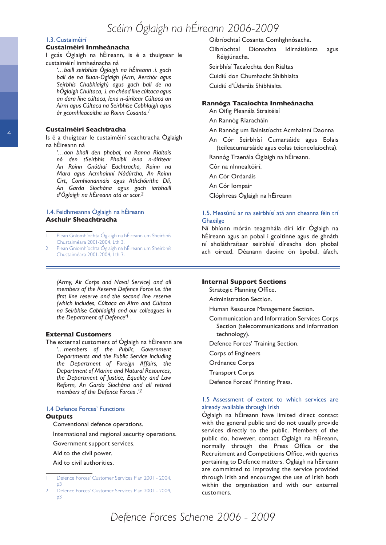#### 1.3. Custaiméirí

#### **Custaiméirí Inmheánacha**

I gcás Óglaigh na hÉireann, is é a thuigtear le custaiméirí inmheánacha ná

*'…baill seirbhíse Óglaigh na hÉireann .i. gach ball de na Buan-Óglaigh (Arm, Aerchór agus Seirbhís Chabhlaigh) agus gach ball de na hÓglaigh Chúltaca, .i. an chéad líne cúltaca agus an dara líne cúltaca, lena n-áirítear Cúltaca an Airm agus Cúltaca na Seirbhíse Cabhlaigh agus ár gcomhleacaithe sa Roinn Cosanta.*

#### **Custaiméirí Seachtracha**

Is é a thuigtear le custaiméirí seachtracha Óglaigh na hÉireann ná

*'…aon bhall den phobal, na Ranna Rialtais nó den tSeirbhís Phoiblí lena n-áirítear An Roinn Gnóthaí Eachtracha, Roinn na Mara agus Acmhainní Nádúrtha, An Roinn Cirt, Comhionannais agus Athchóirithe Dlí, An Garda Síochána agus gach iarbhaill d'Óglaigh na hÉireann atá ar scor.*

#### 1.4. Feidhmeanna Óglaigh na hÉireann **Aschuir Sheachtracha**

 Plean Gníomhíochta Óglaigh na hÉireann um Sheirbhís Chustaiméara 2001-2004, Lth 3.

2 Plean Gníomhíochta Óglaigh na hÉireann um Sheirbhís Chustaiméara 2001-2004, Lth 3.

*(Army, Air Corps and Naval Service) and all members of the Reserve Defence Force i.e. the first line reserve and the second line reserve (which includes, Cúltaca an Airm and Cúltaca na Seirbhíse Cabhlaigh) and our colleagues in the Department of Defence' .* 

#### **External Customers**

The external customers of Óglaigh na hÉireann are *'…members of the Public, Government Departments and the Public Service including the Department of Foreign Affairs, the Department of Marine and Natural Resources, the Department of Justice, Equality and Law Reform, An Garda Síochána and all retired members of the Defence Forces .'*

#### 1.4 Defence Forces' Functions **Outputs**

Conventional defence operations.

International and regional security operations.

Government support services.

Aid to the civil power.

Aid to civil authorities.

#### Oibríochtaí Cosanta Comhghnósacha.

Oibríochtaí Díonachta Idirnáisiúnta agus Réigiúnacha.

Seirbhísí Tacaíochta don Rialtas

Cuidiú don Chumhacht Shibhialta

Cuidiú d'Údaráis Shibhialta.

#### **Rannóga Tacaíochta Inmheánacha**

An Oifig Pleanála Straitéisí

An Rannóg Riaracháin

- An Rannóg um Bainistíocht Acmhainní Daonna
- An Cór Seirbhísí Cumarsáide agus Eolais (teileacumarsáide agus eolas teicneolaíochta).

Rannóg Traenála Óglaigh na hÉireann.

Cór na nInnealtóirí.

An Cór Ordanáis

An Cór Iompair

Clóphreas Óglaigh na hÉireann

#### 1.5. Measúnú ar na seirbhísí atá ann cheanna féin trí **Ghaeilge**

Ní bhíonn mórán teagmhála dírí idir Óglaigh na hÉireann agus an pobal i gcoitinne agus de ghnáth ní sholáthraítear seirbhísí díreacha don phobal ach oiread. Déanann daoine ón bpobal, áfach,

#### **Internal Support Sections**

Strategic Planning Office.

- Administration Section.
- Human Resource Management Section.
- Communication and Information Services Corps Section (telecommunications and information technology).
- Defence Forces' Training Section.
- Corps of Engineers
- Ordnance Corps
- Transport Corps
- Defence Forces' Printing Press.

#### 1.5 Assessment of extent to which services are already available through Irish

Óglaigh na hÉireann have limited direct contact with the general public and do not usually provide services directly to the public. Members of the public do, however, contact Óglaigh na hÉireann, normally through the Press Office or the Recruitment and Competitions Office, with queries pertaining to Defence matters. Óglaigh na hÉireann are committed to improving the service provided through Irish and encourages the use of Irish both within the organisation and with our external customers.

Defence Forces' Customer Services Plan 2001 - 2004, p3

Defence Forces' Customer Services Plan 2001 - 2004, p3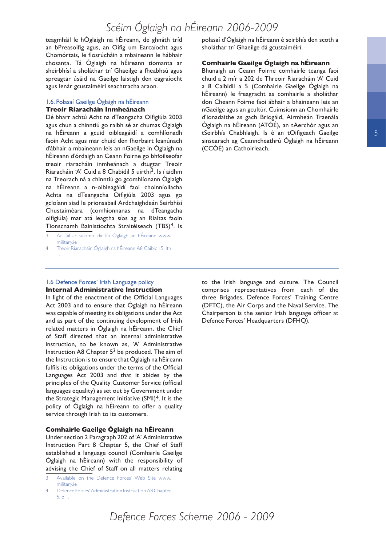teagmháil le hÓglaigh na hÉireann, de ghnáth tríd an bPreasoifig agus, an Oifig um Earcaíocht agus Chomórtais, le fiosrúcháin a mbaineann le hábhair chosanta. Tá Óglaigh na hÉireann tiomanta ar sheirbhísí a sholáthar trí Ghaeilge a fheabhsú agus spreagtar úsáid na Gaeilge laistigh den eagraíocht agus lenár gcustaiméirí seachtracha araon.

#### 1.6. Polasaí Gaeilge Óglaigh na hÉireann **Treoir Riaracháin Inmheánach**

Dé bharr achtú Acht na dTeangacha Oifigiúla 2003 agus chun a chinntiú go raibh sé ar chumas Óglaigh na hÉireann a gcuid oibleagáidí a comhlíonadh faoin Acht agus mar chuid den fhorbairt leanúnach d'ábhair a mbaineann leis an nGaeilge in Óglaigh na hÉireann d'órdaigh an Ceann Foirne go bhfoilseofar treoir riaracháin inmheánach a dtugtar Treoir Riaracháin 'A' Cuid a 8 Chabidil 5 uirthi<sup>3</sup>. Is í aidhm na Treorach ná a chinntiú go gcomhlíonann Óglaigh na hÉireann a n-oibleagáidí faoi choinníollacha Achta na dTeangacha Oifigiúla 2003 agus go gcloíann siad le prionsabail Ardchaighdeán Seirbhísí Chustaiméara (comhionnanas na dTeangacha oifigiúla) mar atá leagtha síos ag an Rialtas faoin Tionscnamh Bainistíochta Straitéiseach (TBS)<sup>4</sup>. Is

- Ar fáil ar suíomh idir lín Óglaigh an hÉireann www. military.ie
- Treoir Riaracháin Óglaigh na hÉireann A8 Caibidil 5, lth 1.

polasaí d'Óglaigh na hÉireann é seirbhís den scoth a sholáthar trí Ghaeilge dá gcustaiméirí.

#### **Comhairle Gaeilge Óglaigh na hÉireann**

Bhunaigh an Ceann Foirne comhairle teanga faoi chuid a 2 mír a 202 de Threoir Riaracháin 'A' Cuid a 8 Caibidil a 5 (Comhairle Gaeilge Óglaigh na hÉireann) le freagracht as comhairle a sholáthar don Cheann Foirne faoi ábhair a bhaineann leis an nGaeilge agus an gcultúr. Cuimsíonn an Chomhairle d'ionadaithe as gach Briogáid, Airmheán Traenála Óglaigh na hÉireann (ATÓÉ), an tAerchór agus an tSeirbhís Chabhlaigh. Is é an tOifigeach Gaeilge sinsearach ag Ceanncheathrú Óglaigh na hÉireann (CCÓÉ) an Cathoirleach.

#### 1.6 Defence Forces' Irish Language policy **Internal Administrative Instruction**

In light of the enactment of the Official Languages Act 2003 and to ensure that Óglaigh na hÉireann was capable of meeting its obligations under the Act and as part of the continuing development of Irish related matters in Óglaigh na hÉireann, the Chief of Staff directed that an internal administrative instruction, to be known as, 'A' Administrative Instruction A8 Chapter  $5<sup>3</sup>$  be produced. The aim of the Instruction is to ensure that Óglaigh na hÉireann fulfils its obligations under the terms of the Official Languages Act 2003 and that it abides by the principles of the Quality Customer Service (official languages equality) as set out by Government under the Strategic Management Initiative  $(SMI)^4$ . It is the policy of Óglaigh na hÉireann to offer a quality service through Irish to its customers.

#### **Comhairle Gaeilge Óglaigh na hÉireann**

Under section 2 Paragraph 202 of 'A' Administrative Instruction Part 8 Chapter 5, the Chief of Staff established a language council (Comhairle Gaeilge Óglaigh na hÉireann) with the responsibility of advising the Chief of Staff on all matters relating

to the Irish language and culture. The Council comprises representatives from each of the three Brigades, Defence Forces' Training Centre (DFTC), the Air Corps and the Naval Service. The Chairperson is the senior Irish language officer at Defence Forces' Headquarters (DFHQ).

5

Available on the Defence Forces' Web Site www. military.ie

Defence Forces' Administration Instruction A8 Chapter 5, p 1.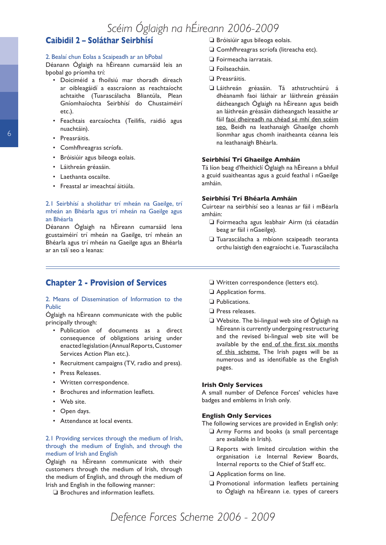## **Caibidil 2 – Soláthar Seirbhísí**

#### 2. Bealaí chun Eolas a Scaipeadh ar an bPobal

Déanann Óglaigh na hÉireann cumarsáid leis an bpobal go príomha trí:

- Doiciméid a fhoilsiú mar thoradh díreach ar oibleagáidí a eascraíonn as reachtaíocht achtaithe (Tuarascálacha Bliantúla, Plean Gníomhaíochta Seirbhísí do Chustaiméirí etc.).
- Feachtais earcaíochta (Teilifís, raidió agus nuachtáin).
- Preasráitis.
- Comhfhreagras scríofa.
- Bróisiúir agus bileoga eolais.
- Láithreán gréasáin.
- Laethanta oscailte.
- Freastal ar imeachtaí áitiúla.

#### 2.1 Seirbhísí a sholáthar trí mheán na Gaeilge, trí mheán an Bhéarla agus trí mheán na Gaeilge agus an Bhéarla

Déanann Óglaigh na hÉireann cumarsáid lena gcustaiméirí trí mheán na Gaeilge, trí mheán an Bhéarla agus trí mheán na Gaeilge agus an Bhéarla ar an tslí seo a leanas:

### **Chapter 2 - Provision of Services**

#### 2. Means of Dissemination of Information to the Public

Óglaigh na hÉireann communicate with the public principally through:

- Publication of documents as a direct consequence of obligations arising under enacted legislation (Annual Reports, Customer Services Action Plan etc.).
- Recruitment campaigns (TV, radio and press).
- Press Releases.
- Written correspondence.
- Brochures and information leaflets.
- Web site.
- Open days.
- Attendance at local events.

#### 2.1 Providing services through the medium of Irish, through the medium of English, and through the medium of Irish and English

Óglaigh na hÉireann communicate with their customers through the medium of Irish, through the medium of English, and through the medium of Irish and English in the following manner:

❏ Brochures and information leaflets.

- ❏ Bróisiúir agus bileoga eolais.
- ❏ Comhfhreagras scríofa (litreacha etc).
- ❏ Foirmeacha iarratais.
- ❏ Foilseacháin.
- ❏ Preasráitis.
- ❏ Láithreán gréasáin. Tá athstruchtúrú á dhéanamh faoi láthair ar láithreán gréasáin dátheangach Óglaigh na hÉireann agus beidh an láithreán gréasáin dátheangach leasaithe ar fáil faoi dheireadh na chéad sé mhí den scéim seo. Beidh na leathanaigh Ghaeilge chomh líonmhar agus chomh inaitheanta céanna leis na leathanaigh Bhéarla.

#### **Seirbhísí Trí Ghaeilge Amháin**

Tá líon beag d'fheithiclí Óglaigh na hÉireann a bhfuil a gcuid suaitheantas agus a gcuid feathal i nGaeilge amháin.

#### **Seirbhísí Trí Bhéarla Amháin**

Cuirtear na seirbhísí seo a leanas ar fáil i mBéarla amháin:

- ❏ Foirmeacha agus leabhair Airm (tá céatadán beag ar fáil i nGaeilge).
- ❏ Tuarascálacha a mbíonn scaipeadh teoranta orthu laistigh den eagraíocht i.e. Tuarascálacha
- ❏ Written correspondence (letters etc).
- ❏ Application forms.
- ❏ Publications.
- ❏ Press releases.
- ❏ Website. The bi-lingual web site of Óglaigh na hÉireann is currently undergoing restructuring and the revised bi-lingual web site will be available by the end of the first six months of this scheme. The Irish pages will be as numerous and as identifiable as the English pages.

#### **Irish Only Services**

A small number of Defence Forces' vehicles have badges and emblems in Irish only.

#### **English Only Services**

The following services are provided in English only:

- ❏ Army Forms and books (a small percentage are available in Irish).
- ❏ Reports with limited circulation within the organisation i.e Internal Review Boards, Internal reports to the Chief of Staff etc.
- ❏ Application forms on line.
- ❏ Promotional information leaflets pertaining to Óglaigh na hÉireann i.e. types of careers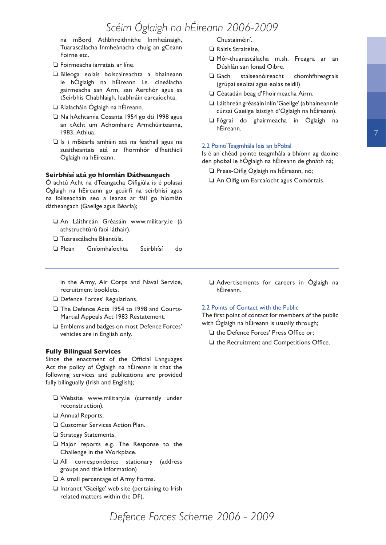na mBord Athbhreithnithe Inmheánaigh, Tuarascálacha Inmheánacha chuig an gCeann Foirne etc.

- ❏ Foirmeacha iarratais ar líne.
- ❏ Bileoga eolais bolscaireachta a bhaineann le hÓglaigh na hÉireann i.e. cineálacha gairmeacha san Arm, san Aerchór agus sa tSeirbhís Chabhlaigh, leabhráin earcaíochta.
- ❏ Rialacháin Óglaigh na hÉireann.
- ❏ Na hAchtanna Cosanta 1954 go dtí 1998 agus an tAcht um Achomhairc Armchúirteanna, 1983, Athlua.
- ❏ Is i mBéarla amháin atá na feathail agus na suaitheantais atá ar fhormhór d'fheithiclí Óglaigh na hÉireann.

#### **Seirbhísí atá go hIomlán Dátheangach**

Ó achtú Acht na dTeangacha Oifigiúla is é polasaí Óglaigh na hÉireann go gcuirfí na seirbhísí agus na foilseacháin seo a leanas ar fáil go hiomlán dátheangach (Gaeilge agus Béarla);

- ❏ An Láithreán Gréasáin www.military.ie (á athstruchtúrú faoi láthair).
- ❏ Tuarascálacha Bliantúla.
- ❏ Plean Gníomhaíochta Seirbhísí do

in the Army, Air Corps and Naval Service, recruitment booklets.

- ❏ Defence Forces' Regulations.
- ❏ The Defence Acts 1954 to 1998 and Courts-Martial Appeals Act 1983 Restatement.
- ❏ Emblems and badges on most Defence Forces' vehicles are in English only.

#### **Fully Bilingual Services**

Since the enactment of the Official Languages Act the policy of Óglaigh na hÉireann is that the following services and publications are provided fully bilingually (Irish and English);

- ❏ Website www.military.ie (currently under reconstruction).
- ❏ Annual Reports.
- ❏ Customer Services Action Plan.
- ❏ Strategy Statements.
- ❏ Major reports e.g. The Response to the Challenge in the Workplace.
- ❏ All correspondence stationary (address groups and title information)
- ❏ A small percentage of Army Forms.
- ❏ Intranet 'Gaeilge' web site (pertaining to Irish related matters within the DF).

Chustaiméirí.

- ❏ Ráitis Straitéise.
- ❏ Mór-thuarascálacha m.sh. Freagra ar an Dúshlán san Ionad Oibre.
- ❏ Gach stáiseanóireacht chomhfhreagrais (grúpaí seoltaí agus eolas teidil)
- ❏ Céatadán beag d'Fhoirmeacha Airm.
- ❏ Láithreán gréasáin inlín 'Gaeilge' (a bhaineann le cúrsaí Gaeilge laistigh d'Óglaigh na hÉireann).
- ❏ Fógraí do ghairmeacha in Óglaigh na hÉireann.

#### 2.2 Pointí Teagmhála leis an bPobal

Is é an chéad pointe teagmhála a bhíonn ag daoine den phobal le hÓglaigh na hÉireann de ghnáth ná;

- ❏ Preas-Oifig Óglaigh na hÉireann, nó;
- ❏ An Oifig um Earcaíocht agus Comórtais.

❏ Advertisements for careers in Óglaigh na hÉireann.

#### 2.2 Points of Contact with the Public

The first point of contact for members of the public with Óglaigh na hÉireann is usually through;

- ❏ the Defence Forces' Press Office or;
- ❏ the Recruitment and Competitions Office.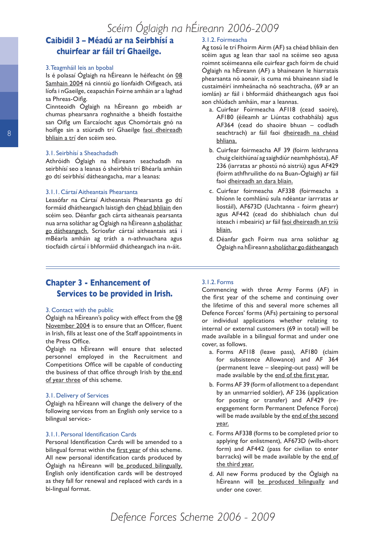## **Caibidil 3 – Méadú ar na Seirbhísí a chuirfear ar fáil trí Ghaeilge.**

#### 3. Teagmháil leis an bpobal

Is é polasaí Óglaigh na hÉireann le héifeacht ón 08 Samhain 2004 ná cinntiú go líonfaidh Oifigeach, atá líofa i nGaeilge, ceapachán Foirne amháin ar a laghad sa Phreas-Oifig.

Cinnteoidh Óglaigh na hÉireann go mbeidh ar chumas phearsanra roghnaithe a bheidh fostaithe san Oifig um Earcaíocht agus Chomórtais gnó na hoifige sin a stiúradh trí Ghaeilge faoi dheireadh bhliain a trí den scéim seo.

#### 3.1. Seirbhísí a Sheachadadh

Athróidh Óglaigh na hÉireann seachadadh na seirbhísí seo a leanas ó sheirbhís trí Bhéarla amháin go dtí seirbhísí dátheangacha, mar a leanas:

#### 3.1.1. Cártaí Aitheantais Phearsanta

Leasófar na Cártaí Aitheantais Phearsanta go dtí formáid dhátheangach laistigh den chéad bhliain den scéim seo. Déanfar gach cárta aitheanais pearsanta nua arna soláthar ag Óglaigh na hÉireann a sholáthar go dátheangach. Scriosfar cártaí aitheantais atá i mBéarla amháin ag tráth a n-athnuachana agus tiocfaidh cártaí i bhformáid dhátheangach ina n-áit.

#### 3.1.2. Foirmeacha

Ag tosú le trí Fhoirm Airm (AF) sa chéad bhliain den scéim agus ag lean thar saol na scéime seo agusa roimnt scéimeanna eile cuirfear gach foirm de chuid Óglaigh na hÉireann (AF) a bhaineann le hiarratais phearsanta nó aonair, is cuma má bhaineann siad le custaiméirí inmheánacha nó seachtracha, (69 ar an iomlán) ar fáil i bhformáid dhátheangach agus faoi aon chlúdach amháin, mar a leannas.

- a. Cuirfear Foirmeacha AF118 (cead saoire), AF180 (éileamh ar Liúntas cothabhála) agus AF364 (cead do shaoire bhuan – codladh seachtrach) ar fáil faoi dheireadh na chéad bhliana.
- b. Cuirfear foirmeacha AF 39 (foirm leithranna chuig cleithiúnaí ag saighdiúr neamhphósta), AF 236 (iarratas ar phostú nó aistriú) agus AF429 (foirm athfhruilithe do na Buan-Óglaigh) ar fáil faoi dheireadh an dara bliain.
- c. Cuirfear foirmeacha AF338 (foirmeacha a bhíonn le comhlánú sula ndéantar iarrratas ar liostáil), AF673D (Uachtanna - foirm ghearr) agus AF442 (cead do shibhialach chun dul isteach i mbeairic) ar fáil faoi dheireadh an tríú bliain.
- d. Déanfar gach Foirm nua arna soláthar ag Óglaigh na hÉireann a sholáthar go dátheangach

## **Chapter 3 - Enhancement of Services to be provided in Irish.**

#### 3. Contact with the public

Óglaigh na hÉireann's policy with effect from the 08 November 2004 is to ensure that an Officer, fluent in Irish, fills at least one of the Staff appointments in the Press Office.

Óglaigh na hÉireann will ensure that selected personnel employed in the Recruitment and Competitions Office will be capable of conducting the business of that office through Irish by the end of year three of this scheme.

#### 3.1. Delivery of Services

Óglaigh na hÉireann will change the delivery of the following services from an English only service to a bilingual service:-

#### 3.1.1. Personal Identification Cards

Personal Identification Cards will be amended to a bilingual format within the first year of this scheme. All new personal identification cards produced by Óglaigh na hÉireann will be produced bilingually. English only identification cards will be destroyed as they fall for renewal and replaced with cards in a bi-lingual format.

#### 3.1.2. Forms

Commencing with three Army Forms (AF) in the first year of the scheme and continuing over the lifetime of this and several more schemes all Defence Forces' forms (AFs) pertaining to personal or individual applications whether relating to internal or external customers (69 in total) will be made available in a bilingual format and under one cover, as follows.

- a. Forms AF118 (leave pass), AF180 (claim for subsistence Allowance) and AF 364 (permanent leave – sleeping-out pass) will be made available by the end of the first year.
- b. Forms AF 39 (form of allotment to a dependant by an unmarried soldier), AF 236 (application for posting or transfer) and AF429 (reengagement form Permanent Defence Force) will be made available by the end of the second year.
- c. Forms AF338 (forms to be completed prior to applying for enlistment), AF673D (wills-short form) and AF442 (pass for civilian to enter barracks) will be made available by the end of the third year.
- d. All new Forms produced by the Óglaigh na hÉireann will be produced bilingually and under one cover.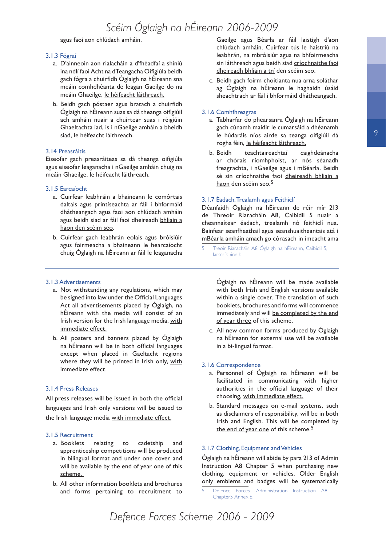agus faoi aon chlúdach amháin.

#### 3.1.3 Fógraí

- a. D'ainneoin aon rialacháin a d'fhéadfaí a shíniú ina ndlí faoi Acht na dTeangacha Oifigiúla beidh gach fógra a chuirfidh Óglaigh na hÉireann sna meáin comhdhéanta de leagan Gaeilge do na meáin Ghaeilge, le héifeacht láithreach.
- b. Beidh gach póstaer agus bratach a chuirfidh Óglaigh na hÉireann suas sa dá theanga oifigiúil ach amháin nuair a chuirtear suas i réigiúin Ghaeltachta iad, is i nGaeilge amháin a bheidh siad, le héifeacht láithreach.

#### 3.14 Preasráitis

Eiseofar gach preasráiteas sa dá theanga oifigiúla agus eiseofar leaganacha i nGaeilge amháin chuig na meáin Ghaeilge, le héifeacht láithreach.

#### 3.1.5 Earcaíocht

- a. Cuirfear leabhráin a bhaineann le comórtais daltais agus printíseachta ar fáil i bhformáid dhátheangach agus faoi aon chlúdach amháin agus beidh siad ar fáil faoi dheireadh bhliain a haon den scéim seo.
- b. Cuirfear gach leabhrán eolais agus bróisiúir agus foirmeacha a bhaineann le hearcaíocht chuig Óglaigh na hÉireann ar fáil le leaganacha

#### 3.1.3 Advertisements

- a. Not withstanding any regulations, which may be signed into law under the Official Languages Act all advertisements placed by Óglaigh, na hÉireann with the media will consist of an Irish version for the Irish language media, with immediate effect.
- b. All posters and banners placed by Óglaigh na hÉireann will be in both official languages except when placed in Gaeltacht regions where they will be printed in Irish only, with immediate effect.

#### 3.1.4 Press Releases

All press releases will be issued in both the official languages and Irish only versions will be issued to the Irish language media with immediate effect.

#### 3.1.5 Recruitment

- a. Booklets relating to cadetship and apprenticeship competitions will be produced in bilingual format and under one cover and will be available by the end of year one of this scheme.
- b. All other information booklets and brochures and forms pertaining to recruitment to

Gaeilge agus Béarla ar fáil laistigh d'aon chlúdach amháin. Cuirfear tús le haistriú na leabhrán, na mbróisiúr agus na bhfoirmeacha sin láithreach agus beidh siad críochnaithe faoi dheireadh bhliain a trí den scéim seo.

c. Beidh gach foirm choitianta nua arna soláthar ag Óglaigh na hÉireann le haghaidh úsáid sheachtrach ar fáil i bhformáid dhátheangach.

#### 3.1.6 Comhfhreagras

- a. Tabharfar do phearsanra Óglaigh na hÉireann gach cúnamh maidir le cumarsáid a dhéanamh le húdaráis níos airde sa teanga oifigiúil dá rogha féin, le héifeacht láithreach.
- b. Beidh teachtaireachtaí caighdeánacha ar chórais ríomhphoist, ar nós séanadh freagrachta, i nGaeilge agus i mBéarla. Beidh sé sin críochnaithe faoi dheireadh bhliain a haon den scéim seo.5

#### 3.1.7 Éadach, Trealamh agus Feithiclí

Déanfaidh Óglaigh na hÉireann de réir mír 213 de Threoir Riaracháin A8, Caibidil 5 nuair a cheannaítear éadach, trealamh nó feithiclí nua. Bainfear seanfheathail agus seanshuaitheantais atá i mBéarla amháin amach go córasach in imeacht ama

5 Treoir Riaracháin A8 Óglaigh na hÉireann, Caibidil 5, Iarscríbhinn b.

> Óglaigh na hÉireann will be made available with both Irish and English versions available within a single cover. The translation of such booklets, brochures and forms will commence immediately and will be completed by the end of year three of this scheme.

c. All new common forms produced by Óglaigh na hÉireann for external use will be available in a bi-lingual format.

#### 3.1.6 Correspondence

- a. Personnel of Óglaigh na hÉireann will be facilitated in communicating with higher authorities in the official language of their choosing, with immediate effect.
- b. Standard messages on e-mail systems, such as disclaimers of responsibility, will be in both Irish and English. This will be completed by the end of year one of this scheme.<sup>5</sup>

#### 3.1.7 Clothing, Equipment and Vehicles

Óglaigh na hÉireann will abide by para 213 of Admin Instruction A8 Chapter 5 when purchasing new clothing, equipment or vehicles. Older English only emblems and badges will be systematically

 Defence Forces' Administration Instruction A8 Chapter5 Annex b.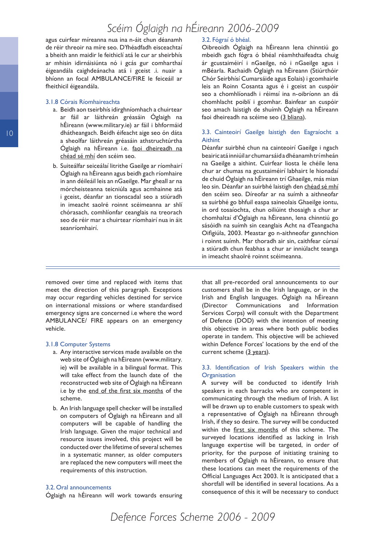agus cuirfear míreanna nua ina n-áit chun déanamh de réir threoir na míre seo. D'fhéadfadh eisceachtaí a bheith ann maidir le feithiclí atá le cur ar sheirbhís ar mhisin idirnáisiúnta nó i gcás gur comharthaí éigeandála caighdeánacha atá i gceist .i. nuair a bhíonn an focal AMBULANCE/FIRE le feiceáil ar fheithicil éigeandála.

#### 3.1.8 Córais Ríomhaireachta

- a. Beidh aon tseirbhís idirghníomhach a chuirtear ar fáil ar láithreán gréasáin Óglaigh na hÉireann (www.military.ie) ar fáil i bhformáid dhátheangach. Beidh éifeacht aige seo ón dáta a sheolfar láithreán gréasáin athstruchtúrtha Óglaigh na hÉireann i.e. faoi dheireadh na chéad sé mhí den scéim seo.
- b. Suiteálfar seiceálaí litrithe Gaeilge ar ríomhairí Óglaigh na hÉireann agus beidh gach ríomhaire in ann déileáil leis an nGaeilge. Mar gheall ar na mórcheisteanna teicniúla agus acmhainne atá i gceist, déanfar an tionscadal seo a stiúradh in imeacht saolré roinnt scéimeanna ar shlí chórasach, comhlíonfar ceanglais na treorach seo de réir mar a chuirtear ríomhairí nua in áit seanríomhairí.

#### 3.2. Fógraí ó bhéal.

Oibreoidh Óglaigh na hÉireann lena chinntiú go mbeidh gach fógra ó bhéal réamhthaifeadta chuig ár gcustaiméirí i nGaeilge, nó i nGaeilge agus i mBéarla. Rachaidh Óglaigh na hÉireann (Stiúrthóir Chór Seirbhísí Cumarsáide agus Eolais) i gcomhairle leis an Roinn Cosanta agus é i gceist an cuspóir seo a chomhlíonadh i réimsí ina n-oibríonn an dá chomhlacht poiblí i gcomhar. Bainfear an cuspóir seo amach laistigh de shuímh Óglaigh na hÉireann faoi dheireadh na scéime seo (3 bliana).

#### 3.3. Cainteoirí Gaeilge laistigh den Eagraíocht a Aithint

Déanfar suirbhé chun na cainteoirí Gaeilge i ngach beairic atá inniúil ar chumarsáid a dhéanamh trí mheán na Gaeilge a aithint. Cuirfear liosta le chéile lena chur ar chumas na gcustaiméirí labhairt le hionadaí de chuid Óglaigh na hÉireann trí Ghaeilge, más mian leo sin. Déanfar an suirbhé laistigh den chéad sé mhí den scéim seo. Díreofar ar na suímh a aithneofar sa suirbhé go bhfuil easpa saineolais Ghaeilge iontu, in ord tosaíochta, chun oiliúint thosaigh a chur ar chomhaltaí d'Óglaigh na hÉireann, lena chinntiú go sásóidh na suímh sin ceanglais Acht na dTeangacha Oifigiúla, 2003. Meastar go n-aithneofar gannchion i roinnt suímh. Mar thoradh air sin, caithfear cúrsaí a stiúradh chun feabhas a chur ar inniúlacht teanga in imeacht shaolré roinnt scéimeanna.

removed over time and replaced with items that meet the direction of this paragraph. Exceptions may occur regarding vehicles destined for service on international missions or where standardised emergency signs are concerned i.e where the word AMBULANCE/ FIRE appears on an emergency vehicle.

#### 3.1.8 Computer Systems

- a. Any interactive services made available on the web site of Óglaigh na hÉireann (www.military. ie) will be available in a bilingual format. This will take effect from the launch date of the reconstructed web site of Óglaigh na hÉireann i.e by the end of the first six months of the scheme.
- b. An Irish language spell checker will be installed on computers of Óglaigh na hÉireann and all computers will be capable of handling the Irish language. Given the major technical and resource issues involved, this project will be conducted over the lifetime of several schemes in a systematic manner, as older computers are replaced the new computers will meet the requirements of this instruction.

#### 3.2. Oral announcements

Óglaigh na hÉireann will work towards ensuring

that all pre-recorded oral announcements to our customers shall be in the Irish language, or in the Irish and English languages. Óglaigh na hÉireann (Director Communications and Information Services Corps) will consult with the Department of Defence (DOD) with the intention of meeting this objective in areas where both public bodies operate in tandem. This objective will be achieved within Defence Forces' locations by the end of the current scheme (3 years).

#### 3.3. Identification of Irish Speakers within the **Organisation**

A survey will be conducted to identify Irish speakers in each barracks who are competent in communicating through the medium of Irish. A list will be drawn up to enable customers to speak with a representative of Óglaigh na hÉireann through Irish, if they so desire. The survey will be conducted within the first six months of this scheme. The surveyed locations identified as lacking in Irish language expertise will be targeted, in order of priority, for the purpose of initiating training to members of Óglaigh na hÉireann, to ensure that these locations can meet the requirements of the Official Languages Act 2003. It is anticipated that a shortfall will be identified in several locations. As a consequence of this it will be necessary to conduct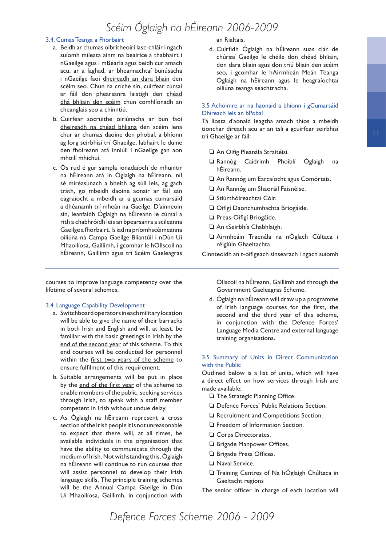#### 3.4. Cumas Teanga a Fhorbairt

- a. Beidh ar chumas oibritheoirí lasc-chláir i ngach suíomh míleata ainm na beairice a thabhairt i nGaeilge agus i mBéarla agus beidh cur amach acu, ar a laghad, ar bheannachtaí bunúsacha i nGaeilge faoi dheireadh an dara bliain den scéim seo. Chun na críche sin, cuirfear cúrsaí ar fáil don phearsanra laistigh den chéad dhá bhliain den scéim chun comhlíonadh an cheanglais seo a chinntiú.
- b. Cuirfear socruithe oiriúnacha ar bun faoi dheireadh na chéad bhliana den scéim lena chur ar chumas daoine den phobal, a bhíonn ag lorg seirbhísí trí Ghaeilge, labhairt le duine den fhoireann atá inniúil i nGaeilge gan aon mhoill mhíchuí.
- c. Ós rud é gur sampla ionadaíoch de mhuintir na hÉireann atá in Óglaigh na hÉireann, níl sé míréasúnach a bheith ag súil leis, ag gach tráth, go mbeidh daoine aonair ar fáil san eagraíocht a mbeidh ar a gcumas cumarsáid a dhéanamh trí mheán na Gaeilge. D'ainneoin sin, leanfaidh Óglaigh na hÉireann le cúrsaí a rith a chabhróidh leis an bpearsanra a scileanna Gaeilge a fhorbairt. Is iad na príomhscéimeanna oiliúna ná Campa Gaeilge Bliantúil i nDún Uí Mhaoilíosa, Gaillimh, i gcomhar le hOllscoil na hÉireann, Gaillimh agus trí Scéim Gaeleagras

courses to improve language competency over the lifetime of several schemes.

#### 3.4. Language Capability Development

- a. Switchboard operators in each military location will be able to give the name of their barracks in both Irish and English and will, at least, be familiar with the basic greetings in Irish by the end of the second year of this scheme. To this end courses will be conducted for personnel within the first two years of the scheme to ensure fulfilment of this requirement.
- b. Suitable arrangements will be put in place by the end of the first year of the scheme to enable members of the public, seeking services through Irish, to speak with a staff member competent in Irish without undue delay.
- c. As Óglaigh na hÉireann represent a cross section of the Irish people it is not unreasonable to expect that there will, at all times, be available individuals in the organisation that have the ability to communicate through the medium of Irish. Not withstanding this, Óglaigh na hÉireann will continue to run courses that will assist personnel to develop their Irish language skills. The principle training schemes will be the Annual Campa Gaeilge in Dún Uí Mhaoilíosa, Gaillimh, in conjunction with

#### an Rialtais.

d. Cuirfidh Óglaigh na hÉireann suas clár de chúrsaí Gaeilge le chéile don chéad bhliain, don dara bliain agus don tríú bliain den scéim seo, i gcomhar le hAirmheán Meán Teanga Óglaigh na hÉireann agus le heagraíochtaí oiliúna teanga seachtracha.

#### 3.5 Achoimre ar na haonaid a bhíonn i gCumarsáid Dhíreach leis an bPobal

Tá liosta d'aonaid leagtha amach thíos a mbeidh tionchar díreach acu ar an tslí a gcuirfear seirbhísí trí Ghaeilge ar fáil:

- ❏ An Oifig Pleanála Straitéisí.
- ❏ Rannóg Caidrimh Phoiblí Óglaigh na hÉireann.
- ❏ An Rannóg um Earcaíocht agus Comórtais.
- ❏ An Rannóg um Shaoráil Faisnéise.
- ❏ Stiúrthóireachtaí Cóir.
- ❏ Oifigí Daonchumhachta Briogáide.
- ❏ Preas-Oifigí Briogáide.
- ❏ An tSeirbhís Chabhlaigh.
- ❏ Airmheáin Traenála na nÓglach Cúltaca i réigiúin Ghaeltachta.

Cinnteoidh an t-oifigeach sinsearach i ngach suíomh

Ollscoil na hÉireann, Gaillimh and through the Government Gaeleagras Scheme.

d. Óglaigh na hÉireann will draw up a programme of Irish language courses for the first, the second and the third year of this scheme, in conjunction with the Defence Forces' Language Media Centre and external language training organisations.

#### 3.5 Summary of Units in Direct Communication with the Public

Outlined below is a list of units, which will have a direct effect on how services through Irish are made available:

- ❏ The Strategic Planning Office.
- ❏ Defence Forces' Public Relations Section.
- ❏ Recruitment and Competitions Section.
- ❏ Freedom of Information Section.
- ❏ Corps Directorates.
- ❏ Brigade Manpower Offices.
- ❏ Brigade Press Offices.
- ❏ Naval Service.
- ❏ Training Centres of Na hÓglaigh Chúltaca in Gaeltacht regions

The senior officer in charge of each location will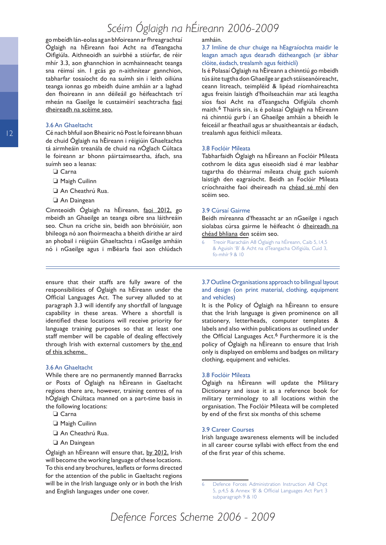go mbeídh lán-eolas ag an bhfoireann ar fhreagrachtaí Óglaigh na hÉireann faoi Acht na dTeangacha Oifigiúla. Aithneoidh an suirbhé a stiúrfar, de réir mhír 3.3, aon ghannchion in acmhainneacht teanga sna réimsí sin. I gcás go n-aithnítear gannchion, tabharfar tosaíocht do na suímh sin i leith oiliúna teanga ionnas go mbeidh duine amháin ar a laghad den fhoireann in ann déileáil go héifeachtach trí mheán na Gaeilge le custaiméirí seachtracha faoi dheireadh na scéime seo.

#### 3.6 An Ghaeltacht

Cé nach bhfuil aon Bheairic nó Post le foireann bhuan de chuid Óglaigh na hÉireann i réigiúin Ghaeltachta tá airmheáin treanála de chuid na nÓglach Cúltaca le foireann ar bhonn páirtaimseartha, áfach, sna suímh seo a leanas:

- ❏ Carna
- ❏ Maigh Cuilinn
- ❏ An Cheathrú Rua.
- ❏ An Daingean

Cinnteoidh Óglaigh na hÉireann, faoi 2012, go mbeidh an Ghaeilge an teanga oibre sna láithreáin seo. Chun na críche sin, beidh aon bhróisiúir, aon bhileoga nó aon fhoirmeacha a bheith dírithe ar aird an phobail i réigiúin Ghaeltachta i nGaeilge amháin nó i nGaeilge agus i mBéarla faoi aon chlúdach

ensure that their staffs are fully aware of the responsibilities of Óglaigh na hÉireann under the Official Languages Act. The survey alluded to at paragraph 3.3 will identify any shortfall of language capability in these areas. Where a shortfall is identified these locations will receive priority for language training purposes so that at least one staff member will be capable of dealing effectively through Irish with external customers by the end of this scheme.

#### 3.6 An Ghaeltacht

While there are no permanently manned Barracks or Posts of Óglaigh na hÉireann in Gaeltacht regions there are, however, training centres of na hÓglaigh Chúltaca manned on a part-time basis in the following locations:

- ❏ Carna
- ❏ Maigh Cuilinn
- ❏ An Cheathrú Rua.
- ❏ An Daingean

Óglaigh an hÉireann will ensure that, by 2012, Irish will become the working language of these locations. To this end any brochures, leaflets or forms directed for the attention of the public in Gaeltacht regions will be in the Irish language only or in both the Irish and English languages under one cover.

#### amháin.

3.7 Imlíne de chur chuige na hEagraíochta maidir le leagan amach agus dearadh dátheangach (ar ábhar clóite, éadach, trealamh agus feithiclí)

Is é Polasaí Óglaigh na hÉireann a chinntiú go mbeidh tús áite tugtha don Ghaeilge ar gach stáiseanóireacht, ceann litreach, teimpléid & lipéad ríomhaireachta agus freisin laistigh d'fhoilseacháin mar atá leagtha síos faoi Acht na dTeangacha Oifigiúla chomh maith.<sup>6</sup> Thairis sin, is é polasaí Óglaigh na hÉireann ná chinntiú gurb í an Ghaeilge amháin a bheidh le feiceáil ar fheathail agus ar shuaitheantais ar éadach, trealamh agus feithiclí míleata.

#### 3.8 Foclóir Míleata

Tabharfaidh Óglaigh na hÉireann an Foclóir Míleata cothrom le dáta agus eiseoidh siad é mar leabhar tagartha do théarmaí míleata chuig gach suíomh laistigh den eagraíocht. Beidh an Foclóir Míleata críochnaithe faoi dheireadh na chéad sé mhí den scéim seo.

#### 3.9 Cúrsaí Gairme

Beidh míreanna d'fheasacht ar an nGaeilge i ngach siolabas cúrsa gairme le héifeacht ó dheireadh na chéad bhliana den scéim seo.

 Treoir Riaracháin A8 Óglaigh na hÉireann, Caib 5, l.4,5 & Aguisín 'B' & Acht na dTeangacha Oifigiúla, Cuid 3, fo-mhír 9 & 10

3.7 Outline Organisations approach to bilingual layout and design (on print material, clothing, equipment and vehicles)

It is the Policy of Óglaigh na hÉireann to ensure that the Irish language is given prominence on all stationery, letterheads, computer templates & labels and also within publications as outlined under the Official Languages Act.<sup>6</sup> Furthermore it is the policy of Óglaigh na hÉireann to ensure that Irish only is displayed on emblems and badges on military clothing, equipment and vehicles.

#### 3.8 Foclóir Míleata

Óglaigh na hÉireann will update the Military Dictionary and issue it as a reference book for military terminology to all locations within the organisation. The Foclóir Míleata will be completed by end of the first six months of this scheme

#### 3.9 Career Courses

Irish language awareness elements will be included in all career course syllabi with effect from the end of the first year of this scheme.

 Defence Forces Administration Instruction A8 Chpt 5, p.4,5 & Annex 'B' & Official Languages Act Part 3 subparagraph 9 & 10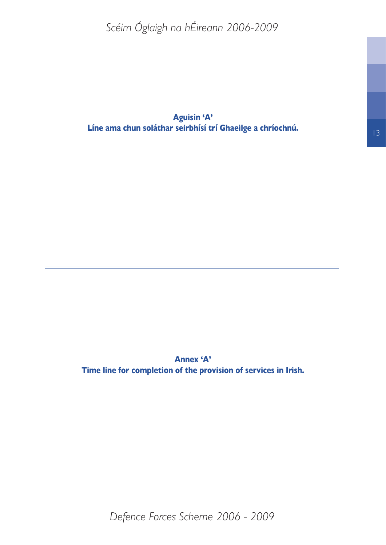**Aguisín 'A' Líne ama chun soláthar seirbhísí trí Ghaeilge a chríochnú.**

**Annex 'A' Time line for completion of the provision of services in Irish.** 13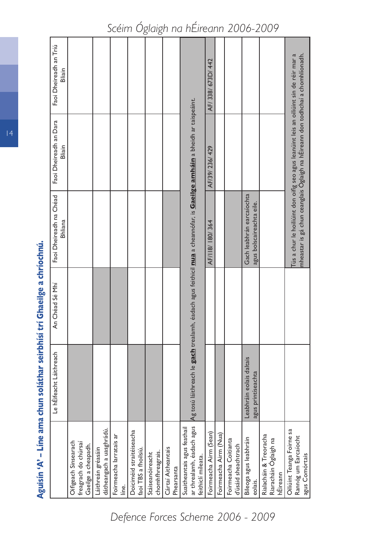| <b>1989</b>                                                                    |                                                |                 |                                                                                                                                                                          |                                  |                                  |                                     |
|--------------------------------------------------------------------------------|------------------------------------------------|-----------------|--------------------------------------------------------------------------------------------------------------------------------------------------------------------------|----------------------------------|----------------------------------|-------------------------------------|
|                                                                                | Le hÉifeacht Láithreach                        | An Chead Se Mhi | Faoi Dheireadh na Chéad<br><b>Bhliana</b>                                                                                                                                | Faoi Dheireadh an Dara<br>Bliain | Faoi Dheireadh an Triú<br>Bliain |                                     |
| Oifigeach Sinsearach<br>freagrach do chúrsaí<br>Gaeilge a cheapadh.            |                                                |                 |                                                                                                                                                                          |                                  |                                  |                                     |
| dátheangach a uasghrádú.<br>Láithreán gréasáin                                 |                                                |                 |                                                                                                                                                                          |                                  |                                  |                                     |
| Foirmeacha larratais ar<br><u>ienii</u>                                        |                                                |                 |                                                                                                                                                                          |                                  |                                  |                                     |
| Doiciméid straitéiseacha<br>faoi TBS a fhoilsiú.                               |                                                |                 |                                                                                                                                                                          |                                  |                                  |                                     |
| chomhfhreagrais.<br>Stáiseanóireacht                                           |                                                |                 |                                                                                                                                                                          |                                  |                                  |                                     |
| Cártaí Aitheantais<br>Phearsanta                                               |                                                |                 |                                                                                                                                                                          |                                  |                                  |                                     |
| ar threalamh, éadach agus<br>Suaitheantais agus feathail<br>feithiclí míleata. |                                                |                 | Ag tosú láithreach le <b>gach</b> trealamh, éadach agus feithicil <mark>nua</mark> a cheannófar, is <mark>Gaeilge amháin</mark> a bheidh ar taispeáint.                  |                                  |                                  | Scéim Óglaigh na hÉireann 2006-2009 |
| Foirmeacha Airm (Sean)                                                         |                                                |                 | AF/118/180/364                                                                                                                                                           | AF/39/ 236/ 429                  | AF/ 338/ 673D/ 442               |                                     |
| Foirmeacha Airm (Nua)                                                          |                                                |                 |                                                                                                                                                                          |                                  |                                  |                                     |
| Foirmeacha Coitianta<br>d'úsáid sheachtrach                                    |                                                |                 |                                                                                                                                                                          |                                  |                                  |                                     |
| Bileoga agus leabhráin<br>eolais.                                              | Leabhráin eolais daltais<br>agus printíseachta |                 | Gach leabhrán earcaíochta<br>agus bolscaireachta eile.                                                                                                                   |                                  |                                  |                                     |
| Rialacháin & Treoracha<br>Riaracháin Óglaigh na<br>hÉireann                    |                                                |                 |                                                                                                                                                                          |                                  |                                  |                                     |
| Oiliúint Teanga Foirne sa<br>Rannóg um Earcaíocht<br>agus Comórtais            |                                                |                 | Tús a chur le hoiliúint don oifig seo agus leanúint leis an oiliúint sin de réir mar a<br>mheastar is gá chun ceanglais Óglaigh na hÉireann don todhchaí a chomhlíonadh. |                                  |                                  |                                     |

Aguisín 'A' - Líne ama chun soláthar seirbhísí trí Ghaeilge a chríochnú. **Aguisín 'A' – Líne ama chun soláthar seirbhísí trí Ghaeilge a chríochnú.**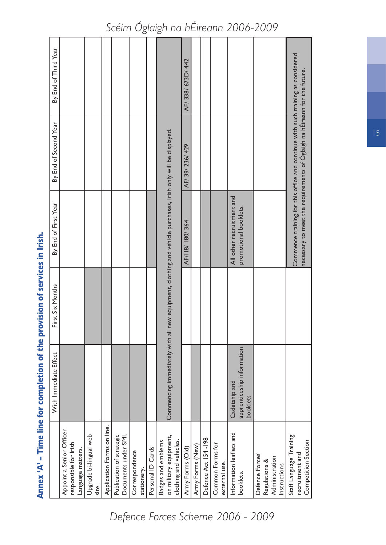|                                                                        | Annex 'A' - Time line for completion of the provision of services in Irish. |                  |                                                                              |                                                                                 |                      |
|------------------------------------------------------------------------|-----------------------------------------------------------------------------|------------------|------------------------------------------------------------------------------|---------------------------------------------------------------------------------|----------------------|
|                                                                        | With Immediate Effect                                                       | First Six Months | By End of First Year                                                         | By End of Second Year                                                           | By End of Third Year |
| Appoint a Senior Officer<br>responsible for Irish<br>Language matters. |                                                                             |                  |                                                                              |                                                                                 |                      |
| Upgrade bi-lingual web<br>site.                                        |                                                                             |                  |                                                                              |                                                                                 |                      |
| Application Forms on line.                                             |                                                                             |                  |                                                                              |                                                                                 |                      |
| Publication of strategic<br>Documents under SMI.                       |                                                                             |                  |                                                                              |                                                                                 |                      |
| Correspondence<br>stationery.                                          |                                                                             |                  |                                                                              |                                                                                 |                      |
| Personal ID Cards                                                      |                                                                             |                  |                                                                              |                                                                                 |                      |
| on military equipment,<br>clothing and vehicles.<br>Badges and emblems | Commencing immediately with all                                             |                  | new equipment, clothing and vehicle purchases, Irish only will be displayed. |                                                                                 |                      |
| Army Forms (Old)                                                       |                                                                             |                  | AF/118/180/364                                                               | AF/ 39/ 236/ 429                                                                | AF/ 338/ 673D/ 442   |
| Army Forms (New)                                                       |                                                                             |                  |                                                                              |                                                                                 |                      |
| Defence Act 154-198                                                    |                                                                             |                  |                                                                              |                                                                                 |                      |
| Common Forms for<br>external use.                                      |                                                                             |                  |                                                                              |                                                                                 |                      |
| Information leaflets and                                               | Cadetship and                                                               |                  | All other recruitment and                                                    |                                                                                 |                      |
| booklets.                                                              | apprenticeship information<br>booklets                                      |                  | promotional booklets.                                                        |                                                                                 |                      |
| Defence Forces'<br>Regulations &                                       |                                                                             |                  |                                                                              |                                                                                 |                      |
| Administration<br>Instructions                                         |                                                                             |                  |                                                                              |                                                                                 |                      |
| Staff Language Training<br>Competition Section<br>recruitment and      |                                                                             |                  | necessary to meet the requirements of Oglaigh na hEireann for the future.    | Commence training for this office and continue with such training as considered |                      |

15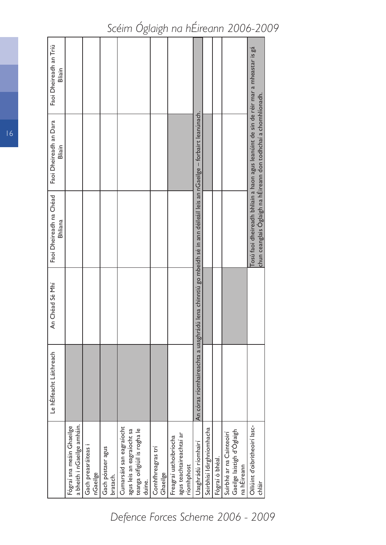|                                                                                                  | Le hÉifeacht Láithreach            | An Chéad Sé Mhí | Faoi Dheireadh na Chéad<br><b>Bhliana</b>                                            | Faoi Dheireadh an Dara<br>Bliain                                                                                                                        | Faoi Dheireadh an Triú<br>Bliain |
|--------------------------------------------------------------------------------------------------|------------------------------------|-----------------|--------------------------------------------------------------------------------------|---------------------------------------------------------------------------------------------------------------------------------------------------------|----------------------------------|
| a bheith i nGaeilge amháin.<br>Fógraí sna meáin Ghaeilge                                         |                                    |                 |                                                                                      |                                                                                                                                                         |                                  |
| Gach preasráiteas i<br>nGaeilge                                                                  |                                    |                 |                                                                                      |                                                                                                                                                         |                                  |
| Gach póstaer agus<br>bratach.                                                                    |                                    |                 |                                                                                      |                                                                                                                                                         |                                  |
| Cumarsáid san eagraíocht<br>teanga oifigiúil is rogha le<br>agus leis an eagraíocht sa<br>duine. |                                    |                 |                                                                                      |                                                                                                                                                         |                                  |
| Comhfhreagras tri<br>Ghaeilge                                                                    |                                    |                 |                                                                                      |                                                                                                                                                         |                                  |
| agus teachtaireachtaí ar<br>Freagraí uathoibríocha<br>ríomhphost                                 |                                    |                 |                                                                                      |                                                                                                                                                         |                                  |
| Uasghrádú ríomhairí                                                                              | An córas ríomhaireachta a uasghrád |                 | lú lena chinntiú go mbeidh sé in ann déileáil leis an nGaeilge – forbairt leanúnach. |                                                                                                                                                         |                                  |
| Seirbhísí Idirghníomhacha                                                                        |                                    |                 |                                                                                      |                                                                                                                                                         |                                  |
| Fógraí ó bhéal.                                                                                  |                                    |                 |                                                                                      |                                                                                                                                                         |                                  |
| Gaeilge laistigh d'Oglaigh<br>Suirbhé ar na Cainteoirí<br>na hÉireann                            |                                    |                 |                                                                                      |                                                                                                                                                         |                                  |
| Oiliúint d'oibritheoirí lasc-<br>chláir                                                          |                                    |                 |                                                                                      | Tosú faoi dheireadh bhliain a haon agus leanúint de sin de réir mar a mheastar is gá<br>chun ceanglais Oglaigh na hÉireann don todhchaí a chomhlíonadh. |                                  |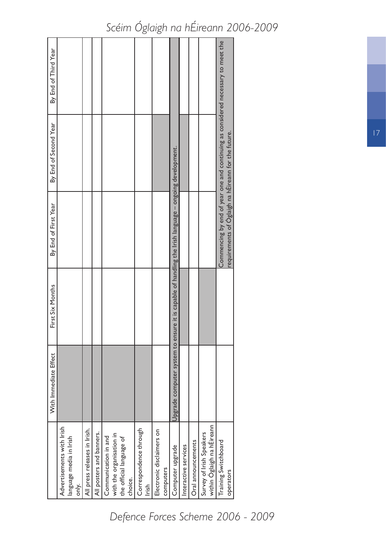|                                                                                         | With Immediate Effect | First Six Months                                                                                                  | By End of First Year                                | By End of Second Year                                                                 | By End of Third Year |
|-----------------------------------------------------------------------------------------|-----------------------|-------------------------------------------------------------------------------------------------------------------|-----------------------------------------------------|---------------------------------------------------------------------------------------|----------------------|
| Advertisements with Irish<br>language media in Irish<br>only.                           |                       |                                                                                                                   |                                                     |                                                                                       |                      |
| All press releases in Irish.                                                            |                       |                                                                                                                   |                                                     |                                                                                       |                      |
| All posters and banners.                                                                |                       |                                                                                                                   |                                                     |                                                                                       |                      |
| with the organisation in<br>Communication in and<br>the official language of<br>choice. |                       |                                                                                                                   |                                                     |                                                                                       |                      |
| Correspondence through<br>Irish                                                         |                       |                                                                                                                   |                                                     |                                                                                       |                      |
| Electronic disclaimers on<br>computers                                                  |                       |                                                                                                                   |                                                     |                                                                                       |                      |
| Computer upgrade                                                                        |                       | $\mathsf{Upgrad}$ e computer system to ensure it is capable of handling the Irish language – ongoing development. |                                                     |                                                                                       |                      |
| Interactive services                                                                    |                       |                                                                                                                   |                                                     |                                                                                       |                      |
| Oral announcements                                                                      |                       |                                                                                                                   |                                                     |                                                                                       |                      |
| within Óglaigh na hÉireann<br>Survey of Irish Speakers                                  |                       |                                                                                                                   |                                                     |                                                                                       |                      |
| Training Switchboard<br>operators                                                       |                       |                                                                                                                   | requirements of Oglaigh na hÉireann for the future. | Commencing by end of year one and continuing as considered necessary to meet the $\,$ |                      |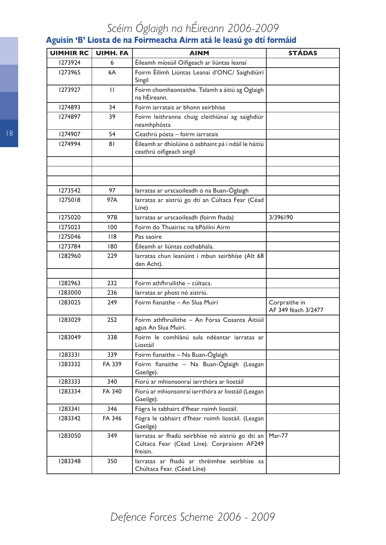## **Aguisín 'B' Liosta de na Foirmeacha Airm atá le leasú go dtí formáid**

| <b>UIMHIR RC</b> | <b>UIMH. FA</b> | <b>AINM</b>                                                                                                | <b>STÁDAS</b>                        |
|------------------|-----------------|------------------------------------------------------------------------------------------------------------|--------------------------------------|
| 1273924          | 6               | Éileamh míosúil Oifigeach ar liúntas leanaí                                                                |                                      |
| 1273965          | 6A              | Foirm Éilimh Liúntas Leanaí d'ONC/ Saighdiúirí<br>Singil                                                   |                                      |
| 1273927          | $\mathbf{H}$    | Foirm chomhaontaithe. Talamh a áitiú ag Óglaigh<br>na hÉireann.                                            |                                      |
| 1274893          | 34              | Foirm iarratais ar bhonn seirbhíse                                                                         |                                      |
| 1274897          | 39              | Foirm leithranna chuig cleithiúnaí ag saighdiúr<br>neamhphósta                                             |                                      |
| 1274907          | 54              | Ceathrú pósta - foirm iarratais                                                                            |                                      |
| 1274994          | 81              | Éileamh ar dhíolúine ó asbhaint pá i ndáil le háitiú<br>ceathrú oifigeach singil                           |                                      |
|                  |                 |                                                                                                            |                                      |
|                  |                 |                                                                                                            |                                      |
|                  |                 |                                                                                                            |                                      |
| 1273542          | 97              | larratas ar urscaoileadh ó na Buan-Óglaigh                                                                 |                                      |
| 1275018          | 97A             | larratas ar aistriú go dtí an Cúltaca Fear (Céad<br>Líne)                                                  |                                      |
| 1275020          | 97B             | larratas ar urscaoileadh (foirm fhada)                                                                     | 3/396190                             |
| 1275023          | 100             | Foirm do Thuairisc na bPóilíní Airm                                                                        |                                      |
| 1275046          | 118             | Pas saoire                                                                                                 |                                      |
| 1273784          | 180             | Éileamh ar liúntas cothabhála.                                                                             |                                      |
| 1282960          | 229             | larratas chun leanúint i mbun seirbhíse (Alt 68<br>den Acht).                                              |                                      |
|                  |                 |                                                                                                            |                                      |
| 1282963          | 232             | Foirm athfhruilithe - cúltaca.                                                                             |                                      |
| 1283000          | 236             | larratas ar phost nó aistriú.                                                                              |                                      |
| 1283025          | 249             | Foirm fianaithe - An Slua Muirí                                                                            | Corpraithe in<br>AF 349 féach 3/2477 |
| 1283029          | 252             | Foirm athfhruilithe - An Fórsa Cosanta Áitiúil<br>agus An Slua Muirí.                                      |                                      |
| 1283049          | 338             | Foirm le comhlánú sula ndéantar iarratas ar<br>Liostáil                                                    |                                      |
| 1283331          | 339             | Foirm fianaithe – Na Buan-Óglaigh                                                                          |                                      |
| 1283332          | FA 339          | Foirm fianaithe - Na Buan-Óglaigh (Leagan<br>Gaeilge).                                                     |                                      |
| 1283333          | 340             | Fíorú ar mhionsonraí iarrthóra ar liostáil                                                                 |                                      |
| 1283334          | FA 340          | Fíorú ar mhionsonraí iarrthóra ar liostáil (Leagan<br>Gaeilge).                                            |                                      |
| 1283341          | 346             | Fógra le tabhairt d'fhear roimh liostáil.                                                                  |                                      |
| 1283342          | FA 346          | Fógra le tabhairt d'fhear roimh liostáil. (Leagan<br>Gaeilge)                                              |                                      |
| 1283050          | 349             | larratas ar fhadú seirbhíse nó aistriú go dtí an<br>Cúltaca Fear (Céad Líne). Corpraíonn AF249<br>freisin. | Mar-77                               |
| 1283348          | 350             | larratas ar fhadú ar thréimhse seirbhíse sa<br>Chúltaca Fear. (Céad Líne)                                  |                                      |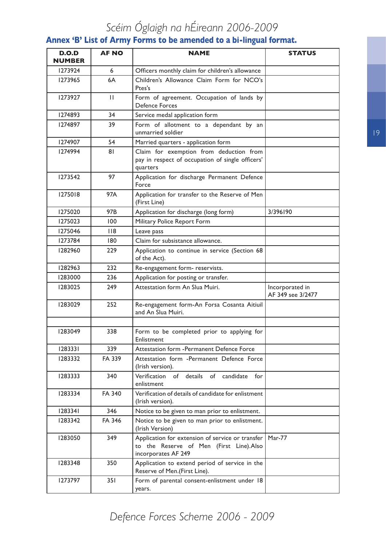### **Annex 'B' List of Army Forms to be amended to a bi-lingual format.**

| D.O.D<br>NUMBER | <b>AF NO</b> | <b>NAME</b>                                                                                                        | <b>STATUS</b>                        |
|-----------------|--------------|--------------------------------------------------------------------------------------------------------------------|--------------------------------------|
| 1273924         | 6            | Officers monthly claim for children's allowance                                                                    |                                      |
| 1273965         | 6A           | Children's Allowance Claim Form for NCO's<br>Ptes's                                                                |                                      |
| 1273927         | $\mathbf{H}$ | Form of agreement. Occupation of lands by<br><b>Defence Forces</b>                                                 |                                      |
| 1274893         | 34           | Service medal application form                                                                                     |                                      |
| 1274897         | 39           | Form of allotment to a dependant by an<br>unmarried soldier                                                        |                                      |
| 1274907         | 54           | Married quarters - application form                                                                                |                                      |
| 1274994         | 81           | Claim for exemption from deduction from<br>pay in respect of occupation of single officers'<br>quarters            |                                      |
| 1273542         | 97           | Application for discharge Permanent Defence<br>Force                                                               |                                      |
| 1275018         | 97A          | Application for transfer to the Reserve of Men<br>(First Line)                                                     |                                      |
| 1275020         | 97B          | Application for discharge (long form)                                                                              | 3/396190                             |
| 1275023         | 100          | Military Police Report Form                                                                                        |                                      |
| 1275046         | 118          | Leave pass                                                                                                         |                                      |
| 1273784         | 180          | Claim for subsistance allowance.                                                                                   |                                      |
| 1282960         | 229          | Application to continue in service (Section 68<br>of the Act).                                                     |                                      |
| 1282963         | 232          | Re-engagement form- reservists.                                                                                    |                                      |
| 1283000         | 236          | Application for posting or transfer.                                                                               |                                      |
| 1283025         | 249          | Attestation form An Slua Muiri.                                                                                    | Incorporated in<br>AF 349 see 3/2477 |
| 1283029         | 252          | Re-engagement form-An Forsa Cosanta Aitiuil<br>and An Slua Muiri.                                                  |                                      |
|                 |              |                                                                                                                    |                                      |
| 1283049         | 338          | Form to be completed prior to applying for<br>Enlistment                                                           |                                      |
| 1283331         | 339          | Attestation form - Permanent Defence Force                                                                         |                                      |
| 1283332         | FA 339       | Attestation form -Permanent Defence Force<br>(Irish version).                                                      |                                      |
| 1283333         | 340          | Verification of details of candidate<br>for<br>enlistment                                                          |                                      |
| 1283334         | FA 340       | Verification of details of candidate for enlistment<br>(Irish version).                                            |                                      |
| 1283341         | 346          | Notice to be given to man prior to enlistment.                                                                     |                                      |
| 1283342         | FA 346       | Notice to be given to man prior to enlistment.<br>(Irish Version)                                                  |                                      |
| 1283050         | 349          | Application for extension of service or transfer<br>to the Reserve of Men (First Line).Also<br>incorporates AF 249 | <b>Mar-77</b>                        |
| 1283348         | 350          | Application to extend period of service in the<br>Reserve of Men.(First Line).                                     |                                      |
| 1273797         | 351          | Form of parental consent-enlistment under 18<br>years.                                                             |                                      |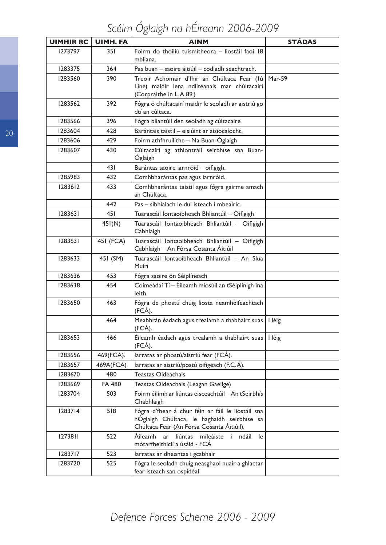*Scéim Óglaigh na hÉireann 2006-2009*

| <b>UIMHIR RC</b> | <b>UIMH. FA</b> | <b>AINM</b>                                                                                                                                   | <b>STÁDAS</b> |
|------------------|-----------------|-----------------------------------------------------------------------------------------------------------------------------------------------|---------------|
| 1273797          | 351             | Foirm do thoiliú tuismitheora - liostáil faoi 18<br>mbliana.                                                                                  |               |
| 1283375          | 364             | Pas buan - saoire áitiúil - codladh seachtrach.                                                                                               |               |
| 1283560          | 390             | Treoir Achomair d'fhir an Chúltaca Fear (Iú<br>Líne) maidir lena ndliteanais mar chúltacairí<br>(Corpraithe in L.A 89.)                       | Mar-59        |
| 1283562          | 392             | Fógra ó chúltacairí maidir le seoladh ar aistriú go<br>dtí an cúltaca.                                                                        |               |
| 1283566          | 396             | Fógra bliantúil den seoladh ag cúltacaire                                                                                                     |               |
| 1283604          | 428             | Barántais taistil - eisiúint ar aisíocaíocht.                                                                                                 |               |
| 1283606          | 429             | Foirm athfhruilithe - Na Buan-Óglaigh                                                                                                         |               |
| 1283607          | 430             | Cúltacairí ag athiontráil seirbhíse sna Buan-<br>Óglaigh                                                                                      |               |
|                  | 431             | Barántas saoire iarnróid - oifigigh.                                                                                                          |               |
| 1285983          | 432             | Comhbharántas pas agus iarnróid.                                                                                                              |               |
| 1283612          | 433             | Comhbharántas taistil agus fógra gairme amach<br>an Chúltaca.                                                                                 |               |
|                  | 442             | Pas - sibhialach le dul isteach i mbeairic.                                                                                                   |               |
| 1283631          | 451             | Tuarascáil Iontaoibheach Bhliantúil - Oifigigh                                                                                                |               |
|                  | 45I(N)          | Tuarascáil lontaoibheach Bhliantúil - Oifigigh<br>Cabhlaigh                                                                                   |               |
| 1283631          | 451 (FCA)       | Tuarascáil lontaoibheach Bhliantúil - Oifigigh<br>Cabhlaigh – An Fórsa Cosanta Áitiúil                                                        |               |
| 1283633          | 451 (SM)        | Tuarascáil lontaoibheach Bhliantúil - An Slua<br>Muirí                                                                                        |               |
| 1283636          | 453             | Fógra saoire ón Séiplíneach                                                                                                                   |               |
| 1283638          | 454             | Coimeádaí Tí - Éileamh míosúil an tSéiplinigh ina<br>leith.                                                                                   |               |
| 1283650          | 463             | Fógra de phostú chuig liosta neamhéifeachtach<br>(FCA).                                                                                       |               |
|                  | 464             | Meabhrán éadach agus trealamh a thabhairt suas<br>(FCÁ).                                                                                      | I léig        |
| 1283653          | 466             | Éileamh éadach agus trealamh a thabhairt suas<br>(FCA).                                                                                       | I léig        |
| 1283656          | 469(FCA).       | larratas ar phostú/aistriú fear (FCÁ).                                                                                                        |               |
| 1283657          | 469A(FCA)       | larratas ar aistriú/postú oifigeach (F.C.Á).                                                                                                  |               |
| 1283670          | 480             | <b>Teastas Oideachais</b>                                                                                                                     |               |
| 1283669          | <b>FA 480</b>   | Teastas Oideachais (Leagan Gaeilge)                                                                                                           |               |
| 1283704          | 503             | Foirm éilimh ar liúntas eisceachtúil - An tSeirbhís<br>Chabhlaigh                                                                             |               |
| 1283714          | 518             | Fógra d'fhear á chur féin ar fáil le liostáil sna<br>hÓglaigh Chúltaca, le haghaidh seirbhíse sa<br>Chúltaca Fear (An Fórsa Cosanta Áitiúil). |               |
| 1273811          | 522             | Áileamh<br>ar<br>liúntas míleáiste i ndáil<br>le<br>mótarfheithiclí a úsáid - FCA                                                             |               |
| 1283717          | 523             | larratas ar dheontas i gcabhair                                                                                                               |               |
| 1283720          | 525             | Fógra le seoladh chuig neasghaol nuair a ghlactar<br>fear isteach san ospidéal                                                                |               |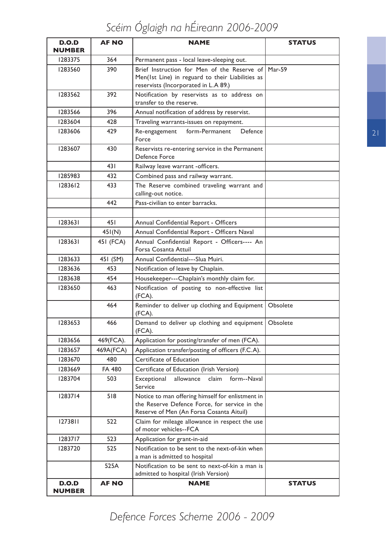| D.O.D<br><b>NUMBER</b> | <b>AF NO</b>  | <b>NAME</b>                                                                                                                                    | <b>STATUS</b> |
|------------------------|---------------|------------------------------------------------------------------------------------------------------------------------------------------------|---------------|
| 1283375                | 364           | Permanent pass - local leave-sleeping out.                                                                                                     |               |
| 1283560                | 390           | Brief Instruction for Men of the Reserve of Mar-59<br>Men(1st Line) in reguard to their Liabilities as<br>reservists (Incorporated in L.A 89.) |               |
| 1283562                | 392           | Notification by reservists as to address on<br>transfer to the reserve.                                                                        |               |
| 1283566                | 396           | Annual notification of address by reservist.                                                                                                   |               |
| 1283604                | 428           | Traveling warrants-issues on repayment.                                                                                                        |               |
| 1283606                | 429           | form-Permanent<br>Re-engagement<br>Defence<br>Force                                                                                            |               |
| 1283607                | 430           | Reservists re-entering service in the Permanent<br>Defence Force                                                                               |               |
|                        | 431           | Railway leave warrant -officers.                                                                                                               |               |
| 1285983                | 432           | Combined pass and railway warrant.                                                                                                             |               |
| 1283612                | 433           | The Reserve combined traveling warrant and<br>calling-out notice.                                                                              |               |
|                        | 442           | Pass-civilian to enter barracks.                                                                                                               |               |
|                        |               |                                                                                                                                                |               |
| 1283631                | 451           | Annual Confidential Report - Officers                                                                                                          |               |
|                        | 45I(N)        | Annual Confidential Report - Officers Naval                                                                                                    |               |
| 1283631                | 451 (FCA)     | Annual Confidential Report - Officers---- An<br>Forsa Cosanta Attuil                                                                           |               |
| 1283633                | 451 (SM)      | Annual Confidential---Slua Muiri.                                                                                                              |               |
| 1283636                | 453           | Notification of leave by Chaplain.                                                                                                             |               |
| 1283638                | 454           | Housekeeper---Chaplain's monthly claim for.                                                                                                    |               |
| 1283650                | 463           | Notification of posting to non-effective list<br>(FCA).                                                                                        |               |
|                        | 464           | Reminder to deliver up clothing and Equipment<br>(FCA).                                                                                        | Obsolete      |
| 1283653                | 466           | Demand to deliver up clothing and equipment<br>(FCA).                                                                                          | Obsolete      |
| 1283656                | 469(FCA).     | Application for posting/transfer of men (FCA).                                                                                                 |               |
| 1283657                | 469A(FCA)     | Application transfer/posting of officers (F.C.A).                                                                                              |               |
| 1283670                | 480           | Certificate of Education                                                                                                                       |               |
| 1283669                | <b>FA 480</b> | Certificate of Education (Irish Version)                                                                                                       |               |
| 1283704                | 503           | claim<br>form--Naval<br>Exceptional<br>allowance<br>Service                                                                                    |               |
| 1283714                | 518           | Notice to man offering himself for enlistment in<br>the Reserve Defence Force, for service in the<br>Reserve of Men (An Forsa Cosanta Aituil)  |               |
| 1273811                | 522           | Claim for mileage allowance in respect the use<br>of motor vehicles--FCA                                                                       |               |
| 1283717                | 523           | Application for grant-in-aid                                                                                                                   |               |
| 1283720                | 525           | Notification to be sent to the next-of-kin when<br>a man is admitted to hospital                                                               |               |
|                        | 525A          | Notification to be sent to next-of-kin a man is<br>admitted to hospital (Irish Version)                                                        |               |
| D.O.D<br><b>NUMBER</b> | <b>AF NO</b>  | <b>NAME</b>                                                                                                                                    | <b>STATUS</b> |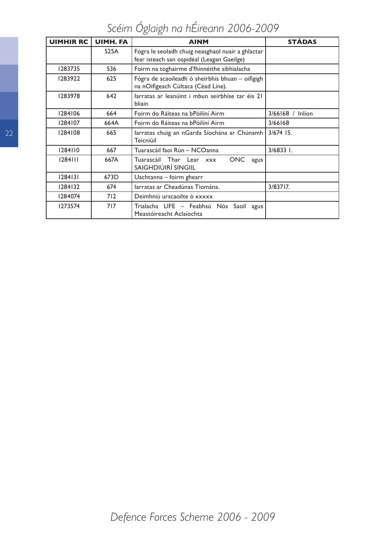*Scéim Óglaigh na hÉireann 2006-2009*

| <b>UIMHIR RC</b> | <b>UIMH. FA</b> | <b>AINM</b>                                                                                     | <b>STÁDAS</b>    |
|------------------|-----------------|-------------------------------------------------------------------------------------------------|------------------|
|                  | 525A            | Fógra le seoladh chuig neasghaol nuair a ghlactar<br>fear isteach san ospidéal (Leagan Gaeilge) |                  |
| 1283735          | 536             | Foirm na toghairme d'fhinnéithe sibhialacha                                                     |                  |
| 1283922          | 625             | Fógra de scaoileadh ó sheirbhís bhuan - oifigigh<br>na nOifigeach Cúltaca (Céad Líne).          |                  |
| 1283978          | 642             | larratas ar leanúint i mbun seirbhíse tar éis 21<br>bliain                                      |                  |
| 1284106          | 664             | Foirm do Ráiteas na bPóilíní Airm                                                               | 3/66168 / Inlíon |
| 1284107          | 664A            | Foirm do Ráiteas na bPóilíní Airm                                                               | 3/66168          |
| 1284108          | 665             | larratas chuig an nGarda Síochána ar Chúnamh<br>Teicniúil                                       | 3/674 15.        |
| 1284110          | 667             | Tuarascáil faoi Rún – NCOanna                                                                   | $3/6833$ I.      |
| 1284111          | 667A            | <b>ONC</b><br>Tuarascáil Thar Lear xxx<br>agus<br>SAIGHDIÚIRÍ SINGIIL                           |                  |
| 1284131          | 673D            | Uachtanna - foirm ghearr                                                                        |                  |
| 1284132          | 674             | larratas ar Cheadúnas Tiomána.                                                                  | 3/83717.         |
| 1284074          | 712             | Deimhniú urscaoilte ó xxxxx                                                                     |                  |
| 1273574          | 717             | Trialacha LIFE - Feabhsú Nós Saoil agus<br>Meastóireacht Aclaíochta                             |                  |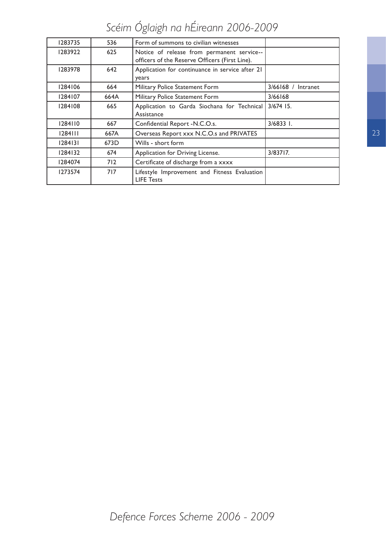| 1283735 | 536  | Form of summons to civilian witnesses                                                        |                      |
|---------|------|----------------------------------------------------------------------------------------------|----------------------|
| 1283922 | 625  | Notice of release from permanent service--<br>officers of the Reserve Officers (First Line). |                      |
| 1283978 | 642  | Application for continuance in service after 21<br>years                                     |                      |
| 1284106 | 664  | Military Police Statement Form                                                               | $3/66168$ / Intranet |
| 1284107 | 664A | Military Police Statement Form                                                               | 3/66168              |
| 1284108 | 665  | Application to Garda Siochana for Technical<br>Assistance                                    | 3/674 15.            |
| 1284110 | 667  | Confidential Report -N.C.O.s.                                                                | $3/68331$ .          |
| 1284111 | 667A | Overseas Report xxx N.C.O.s and PRIVATES                                                     |                      |
| 1284131 | 673D | Wills - short form                                                                           |                      |
| 1284132 | 674  | Application for Driving License.                                                             | 3/83717.             |
| 1284074 | 712  | Certificate of discharge from a xxxx                                                         |                      |
| 1273574 | 717  | Lifestyle Improvement and Fitness Evaluation<br><b>LIFE Tests</b>                            |                      |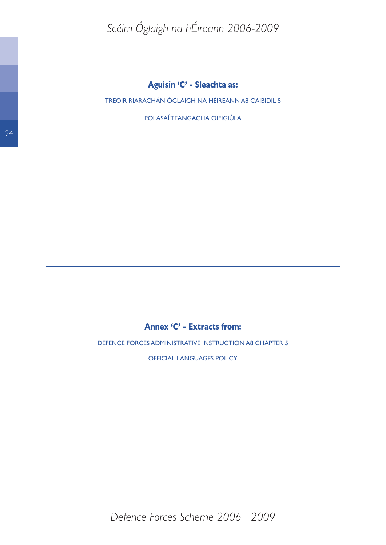TREOIR RIARACHÁN ÓGLAIGH NA HÉIREANN A8 CAIBIDIL 5

POLASAÍ TEANGACHA OIFIGIÚLA

### **Annex 'C' - Extracts from:**

DEFENCE FORCES ADMINISTRATIVE INSTRUCTION A8 CHAPTER 5

OFFICIAL LANGUAGES POLICY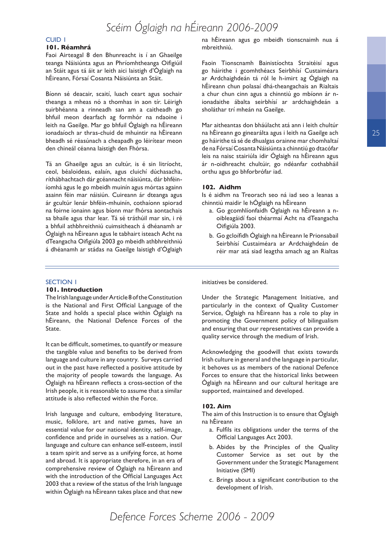#### CUID 1

#### **101. Réamhrá**

Faoi Airteagal 8 den Bhunreacht is í an Ghaeilge teanga Náisiúnta agus an Phríomhtheanga Oifigiúil an Stáit agus tá áit ar leith aici laistigh d'Óglaigh na hÉireann, Fórsaí Cosanta Náisiúnta an Stáit.

Bíonn sé deacair, scaití, luach ceart agus sochair theanga a mheas nó a thomhas in aon tír. Léirigh suirbhéanna a rinneadh san am a caitheadh go bhfuil meon dearfach ag formhór na ndaoine i leith na Gaeilge. Mar go bhfuil Óglaigh na hÉireann ionadaíoch ar thras-chuid de mhuintir na hÉireann bheadh sé réasúnach a cheapadh go léirítear meon den chineál céanna laistigh den Fhórsa.

Tá an Ghaeilge agus an cultúr, is é sin litríocht, ceol, béaloideas, ealaín, agus cluichí dúchasacha, ríthábhachtach dár gcéannacht náisiúnta, dár bhféiníomhá agus le go mbeidh muinín agus mórtas againn asainn féin mar náisiún. Cuireann ár dteanga agus ár gcultúr lenár bhféin-mhuinín, cothaíonn spiorad na foirne ionainn agus bíonn mar fhórsa aontachais sa bhaile agus thar lear. Tá sé tráthúil mar sin, i ré a bhfuil athbhreithniú cuimsitheach á dhéanamh ar Óglaigh na hÉireann agus le tabhairt isteach Acht na dTeangacha Oifigiúla 2003 go mbeidh athbhreithniú á dhéanamh ar stádas na Gaeilge laistigh d'Óglaigh

#### SECTION 1

#### **101. Introduction**

The Irish language under Article 8 of the Constitution is the National and First Official Language of the State and holds a special place within Óglaigh na hÉireann, the National Defence Forces of the State.

It can be difficult, sometimes, to quantify or measure the tangible value and benefits to be derived from language and culture in any country. Surveys carried out in the past have reflected a positive attitude by the majority of people towards the language. As Óglaigh na hÉireann reflects a cross-section of the Irish people, it is reasonable to assume that a similar attitude is also reflected within the Force.

Irish language and culture, embodying literature, music, folklore, art and native games, have an essential value for our national identity, self-image, confidence and pride in ourselves as a nation. Our language and culture can enhance self-esteem, instil a team spirit and serve as a unifying force, at home and abroad. It is appropriate therefore, in an era of comprehensive review of Óglaigh na hÉireann and with the introduction of the Official Languages Act 2003 that a review of the status of the Irish language within Óglaigh na hÉireann takes place and that new

na hÉireann agus go mbeidh tionscnaimh nua á mbreithniú.

Faoin Tionscnamh Bainistíochta Straitéisí agus go háirithe i gcomhthéacs Seirbhísí Custaiméara ar Ardchaighdeán tá ról le h-imirt ag Óglaigh na hÉireann chun polasaí dhá-theangachais an Rialtais a chur chun cinn agus a chinntiú go mbíonn ár nionadaithe ábalta seirbhísí ar ardchaighdeán a sholáthar trí mheán na Gaeilge.

Mar aitheantas don bháúlacht atá ann i leith chultúr na hÉireann go ginearálta agus i leith na Gaeilge ach go háirithe tá sé de dhualgas orainne mar chomhaltaí de na Fórsaí Cosanta Náisiúnta a chinntiú go dtacófar leis na naisc stairiúla idir Óglaigh na hÉireann agus ár n-oidhreacht chultúir, go ndéanfar cothabháil orthu agus go bhforbrófar iad.

#### **102. Aidhm**

Is é aidhm na Treorach seo ná iad seo a leanas a chinntiú maidir le hÓglaigh na hÉireann

- a. Go gcomhlíonfaidh Óglaigh na hÉireann a noibleagáidí faoi théarmaí Acht na dTeangacha Oifigiúla 2003.
- b. Go gcloífidh Óglaigh na hÉireann le Prionsabail Seirbhísí Custaiméara ar Ardchaighdeán de réir mar atá siad leagtha amach ag an Rialtas

initiatives be considered.

Under the Strategic Management Initiative, and particularly in the context of Quality Customer Service, Óglaigh na hÉireann has a role to play in promoting the Government policy of bilingualism and ensuring that our representatives can provide a quality service through the medium of Irish.

Acknowledging the goodwill that exists towards Irish culture in general and the language in particular, it behoves us as members of the national Defence Forces to ensure that the historical links between Óglaigh na hÉireann and our cultural heritage are supported, maintained and developed.

#### **102. Aim**

The aim of this Instruction is to ensure that Óglaigh na hÉireann

- a. Fulfils its obligations under the terms of the Official Languages Act 2003.
- b. Abides by the Principles of the Quality Customer Service as set out by the Government under the Strategic Management Initiative (SMI)
- c. Brings about a significant contribution to the development of Irish.

25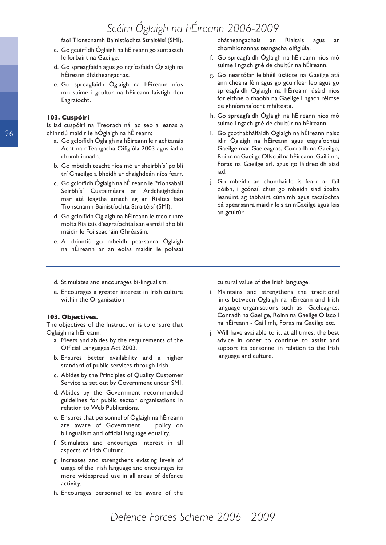faoi Tionscnamh Bainistíochta Straitéisí (SMI).

- c. Go gcuirfidh Óglaigh na hÉireann go suntasach le forbairt na Gaeilge.
- d. Go spreagfaidh agus go ngríosfaidh Óglaigh na hÉireann dhátheangachas.
- e. Go spreagfaidh Óglaigh na hÉireann níos mó suime i gcultúr na hÉireann laistigh den Eagraíocht.

#### **103. Cuspóirí**

Is iad cuspóirí na Treorach ná iad seo a leanas a chinntiú maidir le hÓglaigh na hÉireann:

- a. Go gcloífidh Óglaigh na hÉireann le riachtanais Acht na dTeangacha Oifigiúla 2003 agus iad a chomhlíonadh.
- b. Go mbeidh teacht níos mó ar sheirbhísí poiblí trí Ghaeilge a bheidh ar chaighdeán níos fearr.
- c. Go gcloífidh Óglaigh na hÉireann le Prionsabail Seirbhísí Custaiméara ar Ardchaighdeán mar atá leagtha amach ag an Rialtas faoi Tionscnamh Bainistíochta Straitéisí (SMI).
- d. Go gcloífidh Óglaigh na hÉireann le treoirlínte molta Rialtais d'eagraíochtaí san earnáil phoiblí maidir le Foilseacháin Ghréasáin.
- e. A chinntiú go mbeidh pearsanra Óglaigh na hÉireann ar an eolas maidir le polasaí

dhátheangachais an Rialtais agus ar chomhionannas teangacha oifigiúla.

- f. Go spreagfaidh Óglaigh na hÉireann níos mó suime i ngach gné de chultúr na hÉireann.
- g. Go neartófar leibhéil úsáidte na Gaeilge atá ann cheana féin agus go gcuirfear leo agus go spreagfaidh Óglaigh na hÉireann úsáid níos forleithne ó thaobh na Gaeilge i ngach réimse de ghníomhaíocht mhílteata.
- h. Go spreagfaidh Óglaigh na hÉireann níos mó suime i ngach gné de chultúr na hÉireann.
- i. Go gcothabhálfaidh Óglaigh na hÉireann naisc idir Óglaigh na hÉireann agus eagraíochtaí Gaeilge mar Gaeleagras, Conradh na Gaeilge, Roinn na Gaeilge Ollscoil na hÉireann, Gaillimh, Foras na Gaeilge srl. agus go láidreoidh siad iad.
- j. Go mbeidh an chomhairle is fearr ar fáil dóibh, i gcónaí, chun go mbeidh siad ábalta leanúint ag tabhairt cúnaimh agus tacaíochta dá bpearsanra maidir leis an nGaeilge agus leis an gcultúr.

- d. Stimulates and encourages bi-lingualism.
- e. Encourages a greater interest in Irish culture within the Organisation

#### **103. Objectives.**

The objectives of the Instruction is to ensure that Óglaigh na hÉireann:

- a. Meets and abides by the requirements of the Official Languages Act 2003.
- b. Ensures better availability and a higher standard of public services through Irish.
- c. Abides by the Principles of Quality Customer Service as set out by Government under SMI.
- d. Abides by the Government recommended guidelines for public sector organisations in relation to Web Publications.
- e. Ensures that personnel of Óglaigh na hÉireann are aware of Government policy on bilingualism and official language equality.
- f. Stimulates and encourages interest in all aspects of Irish Culture.
- g. Increases and strengthens existing levels of usage of the Irish language and encourages its more widespread use in all areas of defence activity.
- h. Encourages personnel to be aware of the

cultural value of the Irish language.

- i. Maintains and strengthens the traditional links between Óglaigh na hÉireann and Irish language organisations such as Gaeleagras, Conradh na Gaeilge, Roinn na Gaeilge Ollscoil na hÉireann - Gaillimh, Foras na Gaeilge etc.
- j. Will have available to it, at all times, the best advice in order to continue to assist and support its personnel in relation to the Irish language and culture.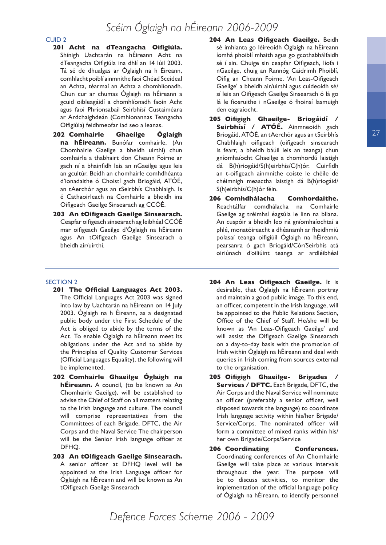#### CUID 2

- **201 Acht na dTeangacha Oifigiúla.** Shínigh Uachtarán na hÉireann Acht na dTeangacha Oifigiúla ina dhlí an 14 Iúil 2003. Tá sé de dhualgas ar Óglaigh na h Éireann, comhlacht poiblí ainmnithe faoi Chéad Sceideal an Achta, téarmaí an Achta a chomhlíonadh. Chun cur ar chumas Óglaigh na hÉireann a gcuid oibleagáidí a chomhlíonadh faoin Acht agus faoi Phrionsabail Seirbhísí Custaiméara ar Ardchaighdeán (Comhionannas Teangacha Oifigiúla) feidhmeofar iad seo a leanas.
- **202 Comhairle Ghaeilge Óglaigh na hÉireann.** Bunófar comhairle, (An Chomhairle Gaeilge a bheidh uirthi) chun comhairle a thabhairt don Cheann Foirne ar gach ní a bhainfidh leis an nGaeilge agus leis an gcultúr. Beidh an chomhairle comhdhéanta d'ionadaithe ó Choistí gach Briogáid, ATÓÉ, an tAerchór agus an tSeirbhís Chabhlaigh. Is é Cathaoirleach na Comhairle a bheidh ina Oifigeach Gaeilge Sinsearach ag CCÓÉ.
- **203 An tOifigeach Gaeilge Sinsearach.** Ceapfar oifigeach sinsearach ag leibhéal CCÓÉ mar oifigeach Gaeilge d'Óglaigh na hÉireann agus An tOifigeach Gaeilge Sinsearach a bheidh air/uirthi.

#### SECTION 2

- **201 The Official Languages Act 2003.** The Official Languages Act 2003 was signed into law by Uachtarán na hÉireann on 14 July 2003. Óglaigh na h Éireann, as a designated public body under the First Schedule of the Act is obliged to abide by the terms of the Act. To enable Óglaigh na hÉireann meet its obligations under the Act and to abide by the Principles of Quality Customer Services (Official Languages Equality), the following will be implemented.
- **202 Comhairle Ghaeilge Óglaigh na hÉireann.** A council, (to be known as An Chomhairle Gaeilge), will be established to advise the Chief of Staff on all matters relating to the Irish language and culture. The council will comprise representatives from the Committees of each Brigade, DFTC, the Air Corps and the Naval Service The chairperson will be the Senior Irish language officer at DFHQ.
- **203 An tOifigeach Gaeilge Sinsearach.** A senior officer at DFHQ level will be appointed as the Irish Language officer for Óglaigh na hÉireann and will be known as An tOifigeach Gaeilge Sinsearach
- **204 An Leas Oifigeach Gaeilge.** Beidh sé imhianta go léireoidh Óglaigh na hÉireann íomhá phoiblí mhaith agus go gcothabhálfaidh sé í sin. Chuige sin ceapfar Oifigeach, líofa i nGaeilge, chuig an Rannóg Caidrimh Phoiblí, Oifig an Cheann Foirne. 'An Leas-Oifigeach Gaeilge' a bheidh air/uirthi agus cuideoidh sé/ sí leis an Oifigeach Gaeilge Sinsearach ó lá go lá le fiosruithe i nGaeilge ó fhoinsí lasmuigh den eagraíocht.
- **205 Oifigigh Ghaeilge- Briogáidí / Seirbhísí / ATÓÉ.** Ainmneoidh gach Briogáid, ATÓÉ, an tAerchór agus an tSeirbhís Chabhlaigh oifigeach (oifigeach sinsearach is fearr, a bheidh báúil leis an teanga) chun gníomhaíocht Ghaeilge a chomhordú laistigh dá B(h)riogáid/S(h)eirbhís/C(h)ór. Cuirfidh an t-oifigeach ainmnithe coiste le chéile de chéimnigh measctha laistigh dá B(h)riogáid/ S(h)eirbhís/C(h)ór féin.
- **206 Comhdhálacha Comhordaithe.** Reachtálfar comdhálacha na Comhairle Gaeilge ag tréimhsí éagsúla le linn na bliana. An cuspóir a bheidh leo ná gníomhaíochtaí a phlé, monatóireacht a dhéanamh ar fheidhmiú polasaí teanga oifigiúil Óglaigh na hÉireann, pearsanra ó gach Briogáid/Cór/Seirbhís atá oiriúnach d'oiliúint teanga ar ardléibhéal
- **204 An Leas Oifigeach Gaeilge.** It is desirable, that Óglaigh na hÉireann portray and maintain a good public image. To this end, an officer, competent in the Irish language, will be appointed to the Public Relations Section, Office of the Chief of Staff. He/she will be known as 'An Leas-Oifigeach Gaeilge' and will assist the Oifigeach Gaeilge Sinsearach on a day-to-day basis with the promotion of Irish within Óglaigh na hÉireann and deal with queries in Irish coming from sources external to the organisation.
- **205 Oifigigh Ghaeilge- Brigades / Services / DFTC.** Each Brigade, DFTC, the Air Corps and the Naval Service will nominate an officer (preferably a senior officer, well disposed towards the language) to coordinate Irish language activity within his/her Brigade/ Service/Corps. The nominated officer will form a committee of mixed ranks within his/ her own Brigade/Corps/Service
- **206 Coordinating Conferences.** Coordinating conferences of An Chomhairle Gaeilge will take place at various intervals throughout the year. The purpose will be to discuss activities, to monitor the implementation of the official language policy of Óglaigh na hÉireann, to identify personnel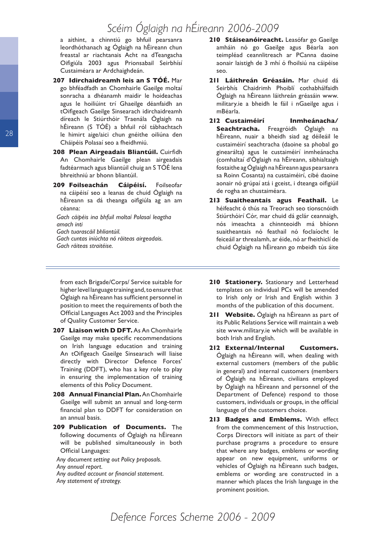a aithint, a chinntiú go bhfuil pearsanra leordhóthanach ag Óglaigh na hÉireann chun freastal ar riachtanais Acht na dTeangacha Oifigiúla 2003 agus Prionsabail Seirbhísí Custaiméara ar Ardchaighdeán.

- **207 Idirchaidreamh leis an S TÓÉ.** Mar go bhféadfadh an Chomhairle Gaeilge moltaí sonracha a dhéanamh maidir le hoideachas agus le hoiliúint trí Ghaeilge déanfaidh an tOifigeach Gaeilge Sinsearach idirchaidreamh díreach le Stiúrthóir Traenála Óglaigh na hÉireann (S TÓÉ) a bhfuil ról tábhachtach le himirt aige/aici chun gnéithe oiliúna den Cháipéis Polasaí seo a fheidhmiú.
- **208 Plean Airgeadais Bliantúil.** Cuirfidh An Chomhairle Gaeilge plean airgeadais fadtéarmach agus bliantúil chuig an S TÓÉ lena bhreithniú ar bhonn bliantúil.
- **209 Foilseachán Cáipéisí.** Foilseofar na cáipéisí seo a leanas de chuid Óglaigh na hÉireann sa dá theanga oifigiúla ag an am céanna:

*Gach cáipéis ina bhfuil moltaí Polasaí leagtha amach inti Gach tuarascáil bhliantúil.* 

*Gach cuntas iniúchta nó ráiteas airgeadais. Gach ráiteas straitéise.* 

from each Brigade/Corps/ Service suitable for higher level language training and, to ensure that Óglaigh na hÉireann has sufficient personnel in position to meet the requirements of both the Official Languages Act 2003 and the Principles of Quality Customer Service.

- **207 Liaison with D DFT.** As An Chomhairle Gaeilge may make specific recommendations on Irish language education and training An tOifigeach Gaeilge Sinsearach will liaise directly with Director Defence Forces' Training (DDFT), who has a key role to play in ensuring the implementation of training elements of this Policy Document.
- **208 Annual Financial Plan.** An Chomhairle Gaeilge will submit an annual and long-term financial plan to DDFT for consideration on an annual basis.
- **209 Publication of Documents.** The following documents of Óglaigh na hÉireann will be published simultaneously in both Official Languages:

*Any document setting out Policy proposals. Any annual report. Any audited account or financial statement. Any statement of strategy.*

- **210 Stáiseanóireacht.** Leasófar go Gaeilge amháin nó go Gaeilge agus Béarla aon teimpléad ceannlitreach ar PCanna daoine aonair laistigh de 3 mhí ó fhoilsiú na cáipéise seo.
- **211 Láithreán Gréasáin.** Mar chuid dá Seirbhís Chaidrimh Phoiblí cothabhálfaidh Óglaigh na hÉireann láithreán gréasáin www. military.ie a bheidh le fáil i nGaeilge agus i mBéarla.
- **212 Custaiméirí Inmheánacha/ Seachtracha.** Freagróidh Óglaigh na hÉireann, nuair a bheidh siad ag déileáil le custaiméirí seachtracha (daoine sa phobal go ginearálta) agus le custaiméirí inmheánacha (comhaltaí d'Óglaigh na hÉireann, sibhialtaigh fostaithe ag Óglaigh na hÉireann agus pearsanra sa Roinn Cosanta) na custaiméirí, cibé daoine aonair nó grúpaí atá i gceist, i dteanga oifigiúil de rogha an chustaiméara.
- **213 Suaitheantais agus Feathail.** Le héifeacht ó thús na Treorach seo tionscnóidh Stiúrthóirí Cór, mar chuid dá gclár ceannaigh, nós imeachta a chinnteoidh má bhíonn suaitheantais nó feathail nó foclaíocht le feiceáil ar threalamh, ar éide, nó ar fheithiclí de chuid Óglaigh na hÉireann go mbeidh tús áite
- **210 Stationery.** Stationary and Letterhead templates on individual PCs will be amended to Irish only or Irish and English within 3 months of the publication of this document.
- **211 Website.** Óglaigh na hÉireann as part of its Public Relations Service will maintain a web site www.military.ie which will be available in both Irish and English.
- **212 External/Internal Customers.** Óglaigh na hÉireann will, when dealing with external customers (members of the public in general) and internal customers (members of Óglaigh na hÉireann, civilians employed by Óglaigh na hÉireann and personnel of the Department of Defence) respond to those customers, individuals or groups, in the official language of the customers choice.
- **213 Badges and Emblems.** With effect from the commencement of this Instruction, Corps Directors will initiate as part of their purchase programs a procedure to ensure that where any badges, emblems or wording appear on new equipment, uniforms or vehicles of Óglaigh na hÉireann such badges, emblems or wording are constructed in a manner which places the Irish language in the prominent position.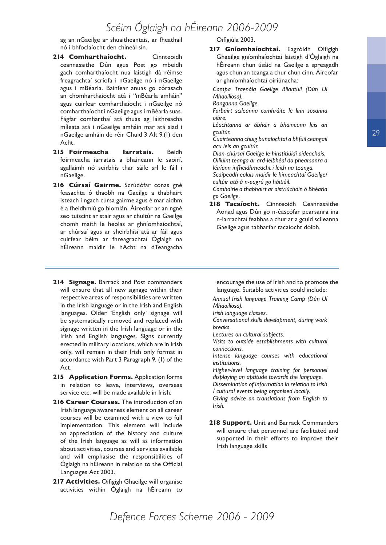ag an nGaeilge ar shuaitheantais, ar fheathail nó i bhfoclaíocht den chineál sin.

- **214 Comharthaíocht.** Cinnteoidh ceannasaithe Dún agus Post go mbeidh gach comharthaíocht nua laistigh dá réimse freagrachtaí scríofa i nGaeilge nó i nGaeilge agus i mBéarla. Bainfear anuas go córasach an chomharthaíocht atá i "mBéarla amháin" agus cuirfear comharthaíocht i nGaeilge nó comharthaíocht i nGaeilge agus i mBéarla suas. Fágfar comharthaí atá thuas ag láithreacha míleata atá i nGaeilge amháin mar atá siad i nGaeilge amháin de réir Chuid 3 Alt 9.(1) den Acht.
- **215 Foirmeacha Iarratais.** Beidh foirmeacha iarratais a bhaineann le saoirí, agallaimh nó seirbhís thar sáile srl le fáil i nGaeilge.
- **216 Cúrsaí Gairme.** Scrúdófar conas gné feasachta ó thaobh na Gaeilge a thabhairt isteach i ngach cúrsa gairme agus é mar aidhm é a fheidhmiú go hiomlán. Áireofar ar an ngné seo tuiscint ar stair agus ar chultúr na Gaeilge chomh maith le heolas ar ghníomhaíochtaí, ar chúrsaí agus ar sheirbhísí atá ar fáil agus cuirfear béim ar fhreagrachtaí Óglaigh na hÉireann maidir le hAcht na dTeangacha

#### Oifigiúla 2003.

**217 Gníomhaíochtaí.** Eagróidh Oifigigh Ghaeilge gníomhaíochtaí laistigh d'Óglaigh na hÉireann chun úsáid na Gaeilge a spreagadh agus chun an teanga a chur chun cinn. Áireofar ar ghníomhaíochtaí oiriúnacha:

*Campa Traenála Gaeilge Bliantúil (Dún Uí Mhaoilíosa).* 

*Ranganna Gaeilge.* 

*Forbairt scileanna comhráite le linn sosanna oibre.* 

*Léachtanna ar ábhair a bhaineann leis an gcultúr.* 

*Cuairteanna chuig bunaíochtaí a bhfuil ceangail acu leis an gcultúr.* 

*Dian-chúrsaí Gaeilge le hinstitiúidí oideachais. Oiliúint teanga ar ard-leibhéal do phearsanra a léiríonn infheidhmeacht i leith na teanga.* 

*Scaipeadh eolais maidir le himeachtaí Gaeilge/ cultúir atá á n-eagrú go háitiúil.* 

*Comhairle a thabhairt ar aistriúcháin ó Bhéarla go Gaeilge.* 

- **218 Tacaíocht.** Cinnteoidh Ceannasaithe Aonad agus Dún go n-éascófar pearsanra ina n-iarrachtaí feabhas a chur ar a gcuid scileanna Gaeilge agus tabharfar tacaíocht dóibh.
- **214 Signage.** Barrack and Post commanders will ensure that all new signage within their respective areas of responsibilities are written in the Irish language or in the Irish and English languages. Older 'English only' signage will be systematically removed and replaced with signage written in the Irish language or in the Irish and English languages. Signs currently erected in military locations, which are in Irish only, will remain in their Irish only format in accordance with Part 3 Paragraph 9. (1) of the Act.
- **215 Application Forms.** Application forms in relation to leave, interviews, overseas service etc. will be made available in Irish.
- **216 Career Courses.** The introduction of an Irish language awareness element on all career courses will be examined with a view to full implementation. This element will include an appreciation of the history and culture of the Irish language as will as information about activities, courses and services available and will emphasise the responsibilities of Óglaigh na hÉireann in relation to the Official Languages Act 2003.
- **217 Activities.** Oifigigh Ghaeilge will organise activities within Óglaigh na hÉireann to

encourage the use of Irish and to promote the language. Suitable activities could include:

*Annual Irish language Training Camp (Dún Uí Mhaoilíosa).*

*Irish language classes.*

*Conversational skills development, during work breaks.*

*Lectures on cultural subjects.*

*Visits to outside establishments with cultural connections.*

*Intense language courses with educational institutions.*

*Higher-level language training for personnel displaying an aptitude towards the language. Dissemination of information in relation to Irish / cultural events being organised locally. Giving advice on translations from English to Irish.*

218 **Support.** Unit and Barrack Commanders will ensure that personnel are facilitated and supported in their efforts to improve their Irish language skills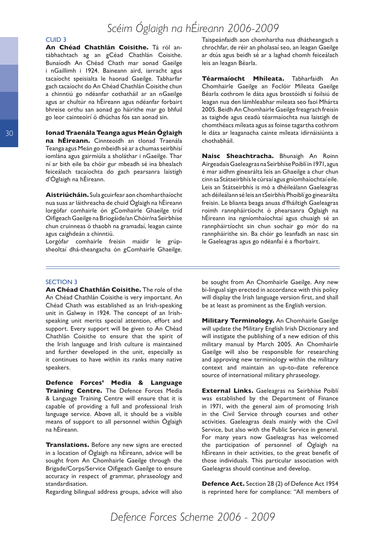#### CUID 3

**An Chéad Chathlán Coisithe.** Tá ról antábhachtach ag an gCéad Chathlán Coisithe. Bunaíodh An Chéad Chath mar aonad Gaeilge i nGaillimh i 1924. Baineann aird, iarracht agus tacaíocht speisialta le haonad Gaeilge. Tabharfar gach tacaíocht do An Chéad Chathlán Coisithe chun a chinntiú go ndéanfar cothatháil ar an nGaeilge agus ar chultúr na hÉireann agus ndéanfar forbairt bhreise orthu san aonad go háirithe mar go bhfuil go leor cainteoirí ó dhúchas fós san aonad sin.

**Ionad Traenála Teanga agus Meán Óglaigh na hÉireann.** Cinnteoidh an tIonad Traenála Teanga agus Meán go mbeidh sé ar a chumas seirbhísí iomlána agus gairmiúla a sholáthar i nGaeilge. Thar ní ar bith eile ba chóir gur mbeadh sé ina bhealach feiceálach tacaíochta do gach pearsanra laistigh d'Óglaigh na hÉireann.

**Aistriúcháin.** Sula gcuirfear aon chomharthaíocht nua suas ar láithreacha de chuid Óglaigh na hÉireann lorgófar comhairle ón gComhairle Ghaeilge tríd Oifigeach Gaeilge na Briogáide/an Chóir/na Seirbhíse chun cruinneas ó thaobh na gramadaí, leagan cainte agus caighdeán a chinntiú.

Lorgófar comhairle freisin maidir le grúpsheoltaí dhá-theangacha ón gComhairle Ghaeilge. Taispeánfaidh aon chomhartha nua dhátheangach a chrochfar, de réir an pholasaí seo, an leagan Gaeilge ar dtús agus beidh sé ar a laghad chomh feiceálach leis an leagan Béarla.

**Téarmaíocht Mhíleata.** Tabharfaidh An Chomhairle Gaeilge an Foclóir Míleata Gaeilge Béarla cothrom le dáta agus brostóidh sí foilsiú de leagan nua den lámhleabhar míleata seo faoi Mhárta 2005. Beidh An Chomhairle Gaeilge freagrach freisin as taighde agus ceadú téarmaíochta nua laistigh de chomthéacs míleata agus as foinse tagartha cothrom le dáta ar leaganacha cainte míleata idirnáisiúnta a chothabháil.

**Naisc Sheachtracha.** Bhunaigh An Roinn Airgeadais Gaeleagras na Seirbhíse Poiblí in 1971, agus é mar aidhm ginearálta leis an Ghaeilge a chur chun cinn sa Státseirbhís le cúrsaí agus gníomhaíochtaí eile. Leis an Státseirbhís is mó a dhéileálann Gaeleagras ach déileálann sé leis an tSeirbhís Phoiblí go ginearálta freisin. Le blianta beaga anuas d'fháiltigh Gaeleagras roimh rannpháirtíocht ó phearsanra Óglaigh na hÉireann ina ngníomhaíochtaí agus chuaigh sé an rannpháirtíocht sin chun sochair go mór do na rannpháirithe sin. Ba chóir go leanfadh an nasc sin le Gaeleagras agus go ndéanfaí é a fhorbairt.

#### SECTION 3

**An Chéad Chathlán Coisithe.** The role of the An Chéad Chathlán Coisithe is very important. An Chéad Chath was established as an Irish-speaking unit in Galway in 1924. The concept of an Irishspeaking unit merits special attention, effort and support. Every support will be given to An Chéad Chathlán Coisithe to ensure that the spirit of the Irish language and Irish culture is maintained and further developed in the unit, especially as it continues to have within its ranks many native speakers.

**Defence Forces' Media & Language Training Centre.** The Defence Forces Media & Language Training Centre will ensure that it is capable of providing a full and professional Irish language service. Above all, it should be a visible means of support to all personnel within Óglaigh na hÉireann.

**Translations.** Before any new signs are erected in a location of Óglaigh na hÉireann, advice will be sought from An Chomhairle Gaeilge through the Brigade/Corps/Service Oifigeach Gaeilge to ensure accuracy in respect of grammar, phraseology and standardisation.

Regarding bilingual address groups, advice will also

be sought from An Chomhairle Gaeilge. Any new bi-lingual sign erected in accordance with this policy will display the Irish language version first, and shall be at least as prominent as the English version.

**Military Terminology.** An Chomhairle Gaeilge will update the Military English Irish Dictionary and will instigate the publishing of a new edition of this military manual by March 2005. An Chomhairle Gaeilge will also be responsible for researching and approving new terminology within the military context and maintain an up-to-date reference source of international military phraseology.

**External Links.** Gaeleagras na Seirbhíse Poiblí was established by the Department of Finance in 1971, with the general aim of promoting Irish in the Civil Service through courses and other activities. Gaeleagras deals mainly with the Civil Service, but also with the Public Service in general. For many years now Gaeleagras has welcomed the participation of personnel of Óglaigh na hÉireann in their activities, to the great benefit of those individuals. This particular association with Gaeleagras should continue and develop.

**Defence Act.** Section 28 (2) of Defence Act 1954 is reprinted here for compliance: "All members of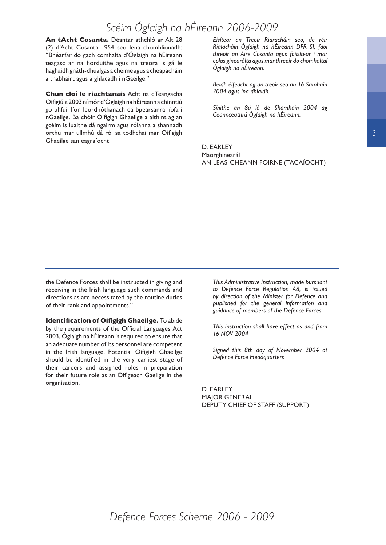**An tAcht Cosanta.** Déantar athchló ar Alt 28 (2) d'Acht Cosanta 1954 seo lena chomhlíonadh: "Bhéarfar do gach comhalta d'Óglaigh na hÉireann teagasc ar na horduithe agus na treora is gá le haghaidh gnáth-dhualgas a chéime agus a cheapacháin a thabhairt agus a ghlacadh i nGaeilge."

**Chun cloí le riachtanais** Acht na dTeangacha Oifigiúla 2003 ní mór d'Óglaigh na hÉireann a chinntiú go bhfuil líon leordhóthanach dá bpearsanra líofa i nGaeilge. Ba chóir Oifigigh Ghaeilge a aithint ag an gcéim is luaithe dá ngairm agus rólanna a shannadh orthu mar ullmhú dá ról sa todhchaí mar Oifigigh Ghaeilge san eagraíocht.

*Eisítear an Treoir Riaracháin seo, de réir Rialacháin Óglaigh na hÉireann DFR SI, faoi threoir an Aire Cosanta agus foilsítear í mar eolas ginearálta agus mar threoir do chomhaltaí Óglaigh na hÉireann.* 

*Beidh éifeacht ag an treoir seo an 16 Samhain 2004 agus ina dhiaidh.* 

*Sínithe an 8ú lá de Shamhain 2004 ag Ceannceathrú Óglaigh na hÉireann.*

D. EARLEY Maorghinearál AN LEAS-CHEANN FOIRNE (TACAÍOCHT)

the Defence Forces shall be instructed in giving and receiving in the Irish language such commands and directions as are necessitated by the routine duties of their rank and appointments."

**Identification of Oifigigh Ghaeilge.** To abide by the requirements of the Official Languages Act 2003, Óglaigh na hÉireann is required to ensure that an adequate number of its personnel are competent in the Irish language. Potential Oifigigh Ghaeilge should be identified in the very earliest stage of their careers and assigned roles in preparation for their future role as an Oifigeach Gaeilge in the organisation.

*This Administrative Instruction, made pursuant to Defence Force Regulation A8, is issued by direction of the Minister for Defence and published for the general information and guidance of members of the Defence Forces.*

*This instruction shall have effect as and from 16 NOV 2004*

*Signed this 8th day of November 2004 at Defence Force Headquarters*

D. EARLEY MAJOR GENERAL DEPUTY CHIEF OF STAFF (SUPPORT)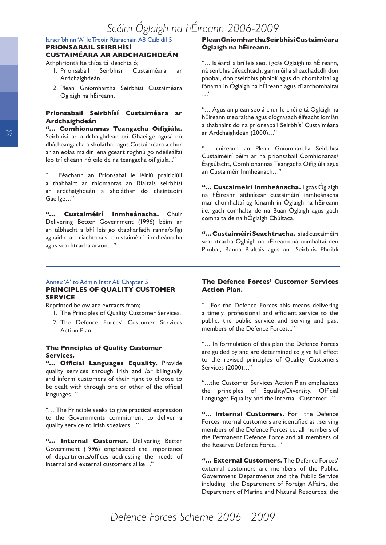#### Iarscríbhinn 'A' le Treoir Riaracháin A8 Caibidil 5

#### **PRIONSABAIL SEIRBHÍSÍ CUSTAIMÉARA AR ARDCHAIGHDEÁN**

Athphriontáilte thíos tá sleachta ó;

- 1. Prionsabail Seirbhísí Custaiméara ar Ardchaighdeán
- 2. Plean Gníomhartha Seirbhísí Custaiméara Óglaigh na hÉireann.

#### **Prionsabail Seirbhísí Custaiméara ar Ardchaighdeán**

**"… Comhionannas Teangacha Oifigiúla.** Seirbhísí ar ardchaighdeán trí Ghaeilge agus/ nó dhátheangacha a sholáthar agus Custaiméara a chur ar an eolas maidir lena gceart roghnú go ndéileálfaí leo trí cheann nó eile de na teangacha oifigiúla..."

"… Féachann an Prionsabal le léiriú praiticiúil a thabhairt ar thiomantas an Rialtais seirbhísí ar ardchaighdeán a sholáthar do chainteoirí Gaeilge…"

**"… Custaiméirí Inmheánacha.** Chuir Delivering Better Government (1996) béim ar an tábhacht a bhí leis go dtabharfadh ranna/oifigí aghaidh ar riachtanais chustaiméirí inmheánacha agus seachtracha araon…"

#### **Plean Gníomhartha Seirbhísí Custaiméara Óglaigh na hÉireann.**

"… Is éard is brí leis seo, i gcás Óglaigh na hÉireann, ná seirbhís éifeachtach, gairmiúil a sheachadadh don phobal, don tseirbhís phoiblí agus do chomhaltaí ag fónamh in Óglaigh na hÉireann agus d'iarchomhaltaí …"

"… Agus an plean seo á chur le chéile tá Óglaigh na hÉireann treoraithe agus díograsach éifeacht iomlán a thabhairt do na prionsabail Seirbhísí Custaiméara ar Ardchaighdeán (2000)…"

"… cuireann an Plean Gníomhartha Seirbhísí Custaiméirí béim ar na prionsabail Comhionanas/ Éagsúlacht, Comhionannas Teangacha Oifigiúla agus an Custaiméir Inmheánach…"

**"… Custaiméirí Inmheánacha.** I gcás Óglaigh na hÉireann aithnítear custaiméirí inmheánacha mar chomhaltaí ag fónamh in Óglaigh na hÉireann i.e. gach comhalta de na Buan-Óglaigh agus gach comhalta de na hÓglaigh Chúltaca.

**"… Custaiméirí Seachtracha.** Is iad custaiméirí seachtracha Óglaigh na hÉireann ná comhaltaí den Phobal, Ranna Rialtais agus an tSeirbhís Phoiblí

#### Annex 'A' to Admin Instr A8 Chapter 5 **PRINCIPLES OF QUALITY CUSTOMER SERVICE**

Reprinted below are extracts from;

- 1. The Principles of Quality Customer Services.
- 2. The Defence Forces' Customer Services Action Plan.

#### **The Principles of Quality Customer Services.**

**"… Official Languages Equality.** Provide quality services through Irish and /or bilingually and inform customers of their right to choose to be dealt with through one or other of the official languages..."

"… The Principle seeks to give practical expression to the Governments commitment to deliver a quality service to Irish speakers…"

**"… Internal Customer.** Delivering Better Government (1996) emphasized the importance of departments/offices addressing the needs of internal and external customers alike…"

#### **The Defence Forces' Customer Services Action Plan.**

"…For the Defence Forces this means delivering a timely, professional and efficient service to the public, the public service and serving and past members of the Defence Forces..."

"… In formulation of this plan the Defence Forces are guided by and are determined to give full effect to the revised principles of Quality Customers Services (2000)…"

"…the Customer Services Action Plan emphasizes the principles of Equality/Diversity, Official Languages Equality and the Internal Customer…"

**"… Internal Customers.** For the Defence Forces internal customers are identified as , serving members of the Defence Forces i.e. all members of the Permanent Defence Force and all members of the Reserve Defence Force…"

**"… External Customers.** The Defence Forces' external customers are members of the Public, Government Departments and the Public Service including the Department of Foreign Affairs, the Department of Marine and Natural Resources, the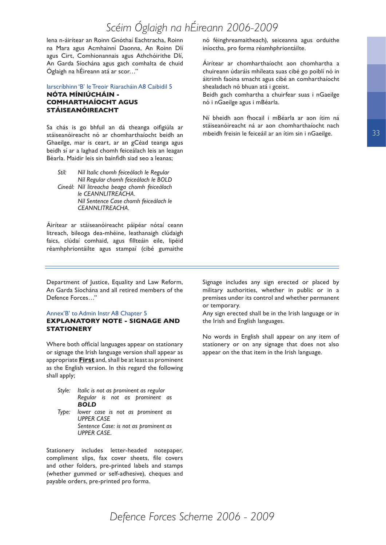lena n-áirítear an Roinn Gnóthaí Eachtracha, Roinn na Mara agus Acmhainní Daonna, An Roinn Dlí agus Cirt, Comhionannais agus Athchóirithe Dlí, An Garda Síochána agus gach comhalta de chuid Óglaigh na hÉireann atá ar scor…"

#### Iarscríbhinn 'B' le Treoir Riaracháin A8 Caibidil 5 **NÓTA MÍNIÚCHÁIN - COMHARTHAÍOCHT AGUS STÁISEANÓIREACHT**

Sa chás is go bhfuil an dá theanga oifigiúla ar stáiseanóireacht nó ar chomharthaíocht beidh an Ghaeilge, mar is ceart, ar an gCéad teanga agus beidh sí ar a laghad chomh feiceálach leis an leagan Béarla. Maidir leis sin bainfidh siad seo a leanas;

*Stíl: Níl Italic chomh feiceálach le Regular Níl Regular chomh feiceálach le BOLD Cineál: Níl litreacha beaga chomh feiceálach le CEANNLITREACHA. Níl Sentence Case chomh feiceálach le CEANNLITREACHA.* 

Áirítear ar stáiseanóireacht páipéar nótaí ceann litreach, bileoga dea-mhéine, leathanaigh clúdaigh faics, clúdaí comhaid, agus fillteáin eile, lipéid réamhphriontáilte agus stampaí (cibé gumaithe

nó féinghreamaitheach), seiceanna agus orduithe iníoctha, pro forma réamhphriontáilte.

Áirítear ar chomharthaíocht aon chomhartha a chuireann údaráis mhíleata suas cibé go poiblí nó in áitrimh faoina smacht agus cibé an comharthaíocht shealadach nó bhuan atá i gceist.

Beidh gach comhartha a chuirfear suas i nGaeilge nó i nGaeilge agus i mBéarla.

Ní bheidh aon fhocail i mBéarla ar aon ítim ná stáiseanóireacht ná ar aon chomharthaíocht nach mbeidh freisin le feiceáil ar an ítim sin i nGaeilge.

Department of Justice, Equality and Law Reform, An Garda Síochána and all retired members of the Defence Forces…"

#### Annex'B' to Admin Instr A8 Chapter 5 **EXPLANATORY NOTE - SIGNAGE AND STATIONERY**

Where both official languages appear on stationary or signage the Irish language version shall appear as appropriate **First** and, shall be at least as prominent as the English version. In this regard the following shall apply;

*Style: Italic is not as prominent as regular Regular is not as prominent as BOLD Type: lower case is not as prominent as UPPER CASE Sentence Case: is not as prominent as* 

*UPPER CASE.*

Stationery includes letter-headed notepaper, compliment slips, fax cover sheets, file covers and other folders, pre-printed labels and stamps (whether gummed or self-adhesive), cheques and payable orders, pre-printed pro forma.

Signage includes any sign erected or placed by military authorities, whether in public or in a premises under its control and whether permanent or temporary.

Any sign erected shall be in the Irish language or in the Irish and English languages.

No words in English shall appear on any item of stationery or on any signage that does not also appear on the that item in the Irish language.

33